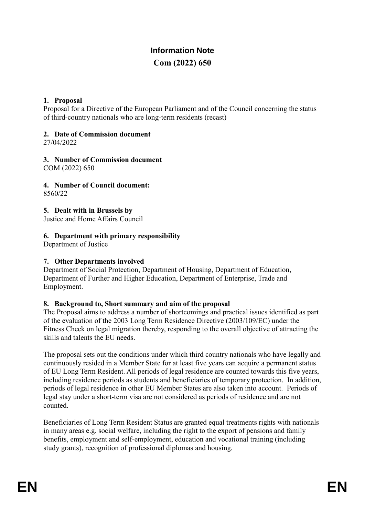# **Information Note Com (2022) 650**

### **1. Proposal**

Proposal for a Directive of the European Parliament and of the Council concerning the status of third-country nationals who are long-term residents (recast)

## **2. Date of Commission document**

27/04/2022

**3. Number of Commission document** COM (2022) 650

**4. Number of Council document:**

8560/22

**5. Dealt with in Brussels by**

Justice and Home Affairs Council

### **6. Department with primary responsibility**

Department of Justice

### **7. Other Departments involved**

Department of Social Protection, Department of Housing, Department of Education, Department of Further and Higher Education, Department of Enterprise, Trade and Employment.

#### **8. Background to, Short summary and aim of the proposal**

The Proposal aims to address a number of shortcomings and practical issues identified as part of the evaluation of the 2003 Long Term Residence Directive (2003/109/EC) under the Fitness Check on legal migration thereby, responding to the overall objective of attracting the skills and talents the EU needs.

The proposal sets out the conditions under which third country nationals who have legally and continuously resided in a Member State for at least five years can acquire a permanent status of EU Long Term Resident. All periods of legal residence are counted towards this five years, including residence periods as students and beneficiaries of temporary protection. In addition, periods of legal residence in other EU Member States are also taken into account. Periods of legal stay under a short-term visa are not considered as periods of residence and are not counted.

Beneficiaries of Long Term Resident Status are granted equal treatments rights with nationals in many areas e.g. social welfare, including the right to the export of pensions and family benefits, employment and self-employment, education and vocational training (including study grants), recognition of professional diplomas and housing.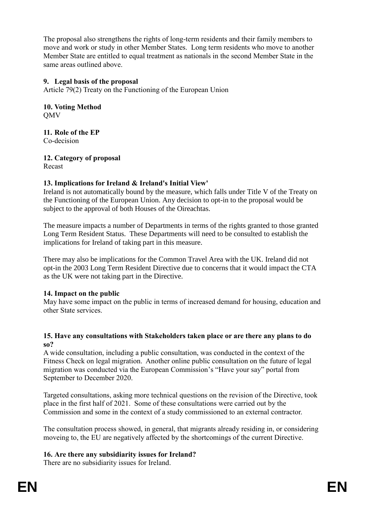The proposal also strengthens the rights of long-term residents and their family members to move and work or study in other Member States. Long term residents who move to another Member State are entitled to equal treatment as nationals in the second Member State in the same areas outlined above.

### **9. Legal basis of the proposal**

Article 79(2) Treaty on the Functioning of the European Union

**10. Voting Method** QMV

**11. Role of the EP** Co-decision

**12. Category of proposal**

Recast

## **13. Implications for Ireland & Ireland's Initial View'**

Ireland is not automatically bound by the measure, which falls under Title V of the Treaty on the Functioning of the European Union. Any decision to opt-in to the proposal would be subject to the approval of both Houses of the Oireachtas.

The measure impacts a number of Departments in terms of the rights granted to those granted Long Term Resident Status. These Departments will need to be consulted to establish the implications for Ireland of taking part in this measure.

There may also be implications for the Common Travel Area with the UK. Ireland did not opt-in the 2003 Long Term Resident Directive due to concerns that it would impact the CTA as the UK were not taking part in the Directive.

## **14. Impact on the public**

May have some impact on the public in terms of increased demand for housing, education and other State services.

#### **15. Have any consultations with Stakeholders taken place or are there any plans to do so?**

A wide consultation, including a public consultation, was conducted in the context of the Fitness Check on legal migration. Another online public consultation on the future of legal migration was conducted via the European Commission's "Have your say" portal from September to December 2020.

Targeted consultations, asking more technical questions on the revision of the Directive, took place in the first half of 2021. Some of these consultations were carried out by the Commission and some in the context of a study commissioned to an external contractor.

The consultation process showed, in general, that migrants already residing in, or considering moveing to, the EU are negatively affected by the shortcomings of the current Directive.

## **16. Are there any subsidiarity issues for Ireland?**

There are no subsidiarity issues for Ireland.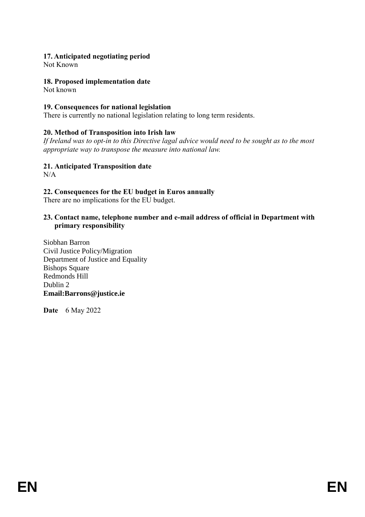## **17. Anticipated negotiating period**

Not Known

### **18. Proposed implementation date**

Not known

#### **19. Consequences for national legislation**

There is currently no national legislation relating to long term residents.

### **20. Method of Transposition into Irish law**

*If Ireland was to opt-in to this Directive lagal advice would need to be sought as to the most appropriate way to transpose the measure into national law.* 

**21. Anticipated Transposition date**

N/A

### **22. Consequences for the EU budget in Euros annually**

There are no implications for the EU budget.

#### **23. Contact name, telephone number and e-mail address of official in Department with primary responsibility**

Siobhan Barron Civil Justice Policy/Migration Department of Justice and Equality Bishops Square Redmonds Hill Dublin 2 **Email:Barrons@justice.ie**

**Date** 6 May 2022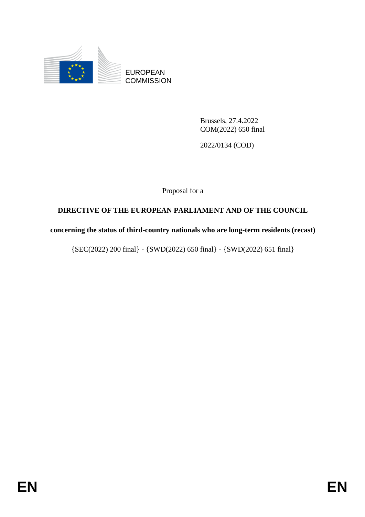

EUROPEAN **COMMISSION** 

> Brussels, 27.4.2022 COM(2022) 650 final

2022/0134 (COD)

Proposal for a

## **DIRECTIVE OF THE EUROPEAN PARLIAMENT AND OF THE COUNCIL**

**concerning the status of third-country nationals who are long-term residents (recast)**

{SEC(2022) 200 final} - {SWD(2022) 650 final} - {SWD(2022) 651 final}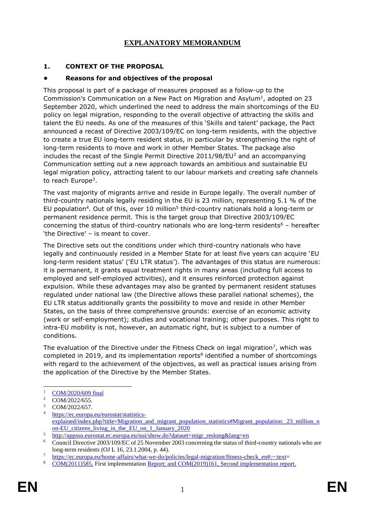## **EXPLANATORY MEMORANDUM**

#### **1. CONTEXT OF THE PROPOSAL**

#### **• Reasons for and objectives of the proposal**

This proposal is part of a package of measures proposed as a follow-up to the Commission's Communication on a New Pact on Migration and Asylum<sup>1</sup>, adopted on 23 September 2020, which underlined the need to address the main shortcomings of the EU policy on legal migration, responding to the overall objective of attracting the skills and talent the EU needs. As one of the measures of this 'Skills and talent' package, the Pact announced a recast of Directive 2003/109/EC on long-term residents, with the objective to create a true EU long-term resident status, in particular by strengthening the right of long-term residents to move and work in other Member States. The package also includes the recast of the Single Permit Directive  $2011/98/EU<sup>2</sup>$  and an accompanying Communication setting out a new approach towards an ambitious and sustainable EU legal migration policy, attracting talent to our labour markets and creating safe channels to reach Europe<sup>3</sup>.

The vast majority of migrants arrive and reside in Europe legally. The overall number of third-country nationals legally residing in the EU is 23 million, representing 5.1 % of the EU population<sup>4</sup>. Out of this, over 10 million<sup>5</sup> third-country nationals hold a long-term or permanent residence permit. This is the target group that Directive 2003/109/EC concerning the status of third-country nationals who are long-term residents<sup>6</sup> – hereafter 'the Directive' – is meant to cover.

The Directive sets out the conditions under which third-country nationals who have legally and continuously resided in a Member State for at least five years can acquire 'EU long-term resident status' ('EU LTR status'). The advantages of this status are numerous: it is permanent, it grants equal treatment rights in many areas (including full access to employed and self-employed activities), and it ensures reinforced protection against expulsion. While these advantages may also be granted by permanent resident statuses regulated under national law (the Directive allows these parallel national schemes), the EU LTR status additionally grants the possibility to move and reside in other Member States, on the basis of three comprehensive grounds: exercise of an economic activity (work or self-employment); studies and vocational training; other purposes. This right to intra-EU mobility is not, however, an automatic right, but is subject to a number of conditions.

The evaluation of the Directive under the Fitness Check on legal migration<sup>7</sup>, which was completed in 2019, and its implementation reports<sup>8</sup> identified a number of shortcomings with regard to the achievement of the objectives, as well as practical issues arising from the application of the Directive by the Member States.

1

 $^{1}$  [COM/2020/609 final](https://eur-lex.europa.eu/legal-content/EN/TXT/?qid=1601287338054&uri=COM%3A2020%3A609%3AFIN)

<sup>&</sup>lt;sup>2</sup> COM/2022/655.

 $\frac{3}{4}$  COM/2022/657.

[https://ec.europa.eu/eurostat/statistics](https://ec.europa.eu/eurostat/statistics-explained/index.php?title=Migration_and_migrant_population_statistics#Migrant_population:_23_million_non-EU_citizens_living_in_the_EU_on_1_January_2020)[explained/index.php?title=Migration\\_and\\_migrant\\_population\\_statistics#Migrant\\_population:\\_23\\_million\\_n](https://ec.europa.eu/eurostat/statistics-explained/index.php?title=Migration_and_migrant_population_statistics#Migrant_population:_23_million_non-EU_citizens_living_in_the_EU_on_1_January_2020) [on-EU\\_citizens\\_living\\_in\\_the\\_EU\\_on\\_1\\_January\\_2020](https://ec.europa.eu/eurostat/statistics-explained/index.php?title=Migration_and_migrant_population_statistics#Migrant_population:_23_million_non-EU_citizens_living_in_the_EU_on_1_January_2020)

 $\frac{\text{http://appsso.eurostat.ec.europa.eu/nui/show.do?dataset=}\text{migr~reslong⟨=en}}{\text{Convoli Diractive~2003/100/EC of 25 Neumann~2003}}$ 

<sup>6</sup> Council Directive 2003/109/EC of 25 November 2003 concerning the status of third-country nationals who are long-term residents (OJ L 16, 23.1.2004, p. 44).

<sup>7</sup> [https://ec.europa.eu/home-affairs/what-we-do/policies/legal-migration/fitness-check\\_en#:~:text=](https://ec.europa.eu/home-affairs/what-we-do/policies/legal-migration/fitness-check_en#:~:text)<br>8 COM(2011)595 Einst implementation Beneatt and COM(2010)161. Seeond implementation gape

<sup>8</sup> [COM\(2011\)585,](https://eur-lex.europa.eu/legal-content/EN/TXT/?uri=CELEX%3A52011DC0585) First implementation Report; and [COM\(2019\)161,](https://eur-lex.europa.eu/legal-content/EN/TXT/?uri=CELEX:52019DC0161) Second implementation report.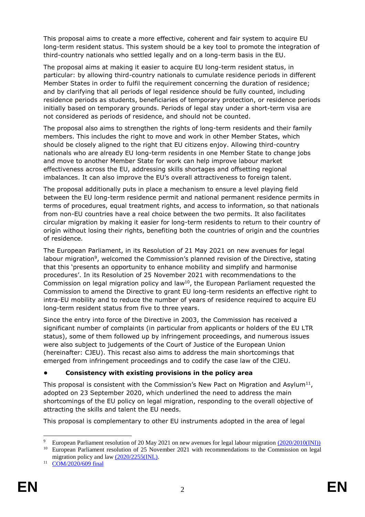This proposal aims to create a more effective, coherent and fair system to acquire EU long-term resident status. This system should be a key tool to promote the integration of third-country nationals who settled legally and on a long-term basis in the EU.

The proposal aims at making it easier to acquire EU long-term resident status, in particular: by allowing third-country nationals to cumulate residence periods in different Member States in order to fulfil the requirement concerning the duration of residence; and by clarifying that all periods of legal residence should be fully counted, including residence periods as students, beneficiaries of temporary protection, or residence periods initially based on temporary grounds. Periods of legal stay under a short-term visa are not considered as periods of residence, and should not be counted.

The proposal also aims to strengthen the rights of long-term residents and their family members. This includes the right to move and work in other Member States, which should be closely aligned to the right that EU citizens enjoy. Allowing third-country nationals who are already EU long-term residents in one Member State to change jobs and move to another Member State for work can help improve labour market effectiveness across the EU, addressing skills shortages and offsetting regional imbalances. It can also improve the EU's overall attractiveness to foreign talent.

The proposal additionally puts in place a mechanism to ensure a level playing field between the EU long-term residence permit and national permanent residence permits in terms of procedures, equal treatment rights, and access to information, so that nationals from non-EU countries have a real choice between the two permits. It also facilitates circular migration by making it easier for long-term residents to return to their country of origin without losing their rights, benefiting both the countries of origin and the countries of residence.

The European Parliament, in its Resolution of 21 May 2021 on new avenues for legal labour migration<sup>9</sup>, welcomed the Commission's planned revision of the Directive, stating that this 'presents an opportunity to enhance mobility and simplify and harmonise procedures'. In its Resolution of 25 November 2021 with recommendations to the Commission on legal migration policy and law<sup>10</sup>, the European Parliament requested the Commission to amend the Directive to grant EU long-term residents an effective right to intra-EU mobility and to reduce the number of years of residence required to acquire EU long-term resident status from five to three years.

Since the entry into force of the Directive in 2003, the Commission has received a significant number of complaints (in particular from applicants or holders of the EU LTR status), some of them followed up by infringement proceedings, and numerous issues were also subject to judgements of the Court of Justice of the European Union (hereinafter: CJEU). This recast also aims to address the main shortcomings that emerged from infringement proceedings and to codify the case law of the CJEU.

## **• Consistency with existing provisions in the policy area**

This proposal is consistent with the Commission's New Pact on Migration and Asylum $^{11}$ , adopted on 23 September 2020, which underlined the need to address the main shortcomings of the EU policy on legal migration, responding to the overall objective of attracting the skills and talent the EU needs.

This proposal is complementary to other EU instruments adopted in the area of legal

<sup>1</sup> <sup>9</sup> European Parliament resolution of 20 May 2021 on new avenues for legal labour migration [\(2020/2010\(INI\)\)](https://www.europarl.europa.eu/doceo/document/TA-9-2021-0260_EN.html)

<sup>&</sup>lt;sup>10</sup> European Parliament resolution of 25 November 2021 with recommendations to the Commission on legal migration policy and law [\(2020/2255\(INL\).](https://oeil.secure.europarl.europa.eu/oeil/popups/ficheprocedure.do?lang=en&reference=2020/2255(INL))

<sup>11</sup> [COM/2020/609 final](https://eur-lex.europa.eu/legal-content/EN/TXT/?qid=1601287338054&uri=COM%3A2020%3A609%3AFIN)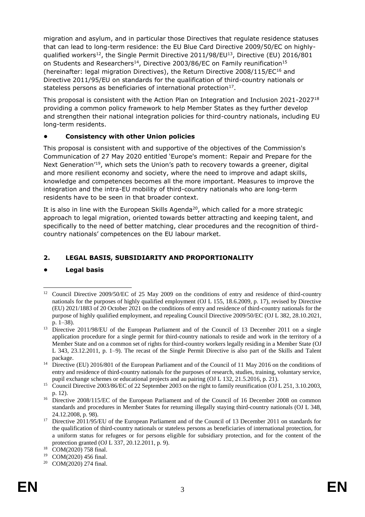migration and asylum, and in particular those Directives that regulate residence statuses that can lead to long-term residence: the EU Blue Card Directive 2009/50/EC on highlyqualified workers<sup>12</sup>, the Single Permit Directive 2011/98/EU<sup>13</sup>, Directive (EU) 2016/801 on Students and Researchers<sup>14</sup>, Directive 2003/86/EC on Family reunification<sup>15</sup> (hereinafter: legal migration Directives), the Return Directive 2008/115/EC<sup>16</sup> and Directive 2011/95/EU on standards for the qualification of third-country nationals or stateless persons as beneficiaries of international protection $^{17}$ .

This proposal is consistent with the Action Plan on Integration and Inclusion 2021-2027<sup>18</sup> providing a common policy framework to help Member States as they further develop and strengthen their national integration policies for third-country nationals, including EU long-term residents.

### **• Consistency with other Union policies**

This proposal is consistent with and supportive of the objectives of the Commission's Communication of 27 May 2020 entitled 'Europe's moment: Repair and Prepare for the Next Generation<sup>'19</sup>, which sets the Union's path to recovery towards a greener, digital and more resilient economy and society, where the need to improve and adapt skills, knowledge and competences becomes all the more important. Measures to improve the integration and the intra-EU mobility of third-country nationals who are long-term residents have to be seen in that broader context.

It is also in line with the European Skills Agenda<sup>20</sup>, which called for a more strategic approach to legal migration, oriented towards better attracting and keeping talent, and specifically to the need of better matching, clear procedures and the recognition of thirdcountry nationals' competences on the EU labour market.

## **2. LEGAL BASIS, SUBSIDIARITY AND PROPORTIONALITY**

## **• Legal basis**

<sup>-</sup><sup>12</sup> Council Directive 2009/50/EC of 25 May 2009 on the conditions of entry and residence of third-country nationals for the purposes of highly qualified employment (OJ L 155, 18.6.2009, p. 17), revised by Directive (EU) 2021/1883 of 20 October 2021 on the conditions of entry and residence of third-country nationals for the purpose of highly qualified employment, and repealing Council Directive 2009/50/EC (OJ L 382, 28.10.2021, p. 1–38).

<sup>&</sup>lt;sup>13</sup> Directive 2011/98/EU of the European Parliament and of the Council of 13 December 2011 on a single application procedure for a single permit for third-country nationals to reside and work in the territory of a Member State and on a common set of rights for third-country workers legally residing in a Member State (OJ L 343, 23.12.2011, p. 1–9). The recast of the Single Permit Directive is also part of the Skills and Talent package.

<sup>&</sup>lt;sup>14</sup> Directive (EU) 2016/801 of the European Parliament and of the Council of 11 May 2016 on the conditions of entry and residence of third-country nationals for the purposes of research, studies, training, voluntary service, pupil exchange schemes or educational projects and au pairing (OJ L 132, 21.5.2016, p. 21).

<sup>&</sup>lt;sup>15</sup> Council Directive 2003/86/EC of 22 September 2003 on the right to family reunification (OJ L 251, 3.10.2003, p. 12).

<sup>&</sup>lt;sup>16</sup> Directive 2008/115/EC of the European Parliament and of the Council of 16 December 2008 on common standards and procedures in Member States for returning illegally staying third-country nationals (OJ L 348, 24.12.2008, p. 98).

<sup>&</sup>lt;sup>17</sup> Directive  $2011/95/EU$  of the European Parliament and of the Council of 13 December 2011 on standards for the qualification of third-country nationals or stateless persons as beneficiaries of international protection, for a uniform status for refugees or for persons eligible for subsidiary protection, and for the content of the protection granted (OJ L 337, 20.12.2011, p. 9).

<sup>&</sup>lt;sup>18</sup> COM(2020) 758 final.

<sup>19</sup> COM(2020) 456 final.

<sup>20</sup> COM(2020) 274 final.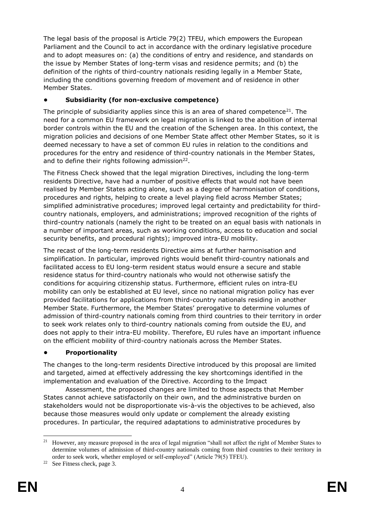The legal basis of the proposal is Article 79(2) TFEU, which empowers the European Parliament and the Council to act in accordance with the ordinary legislative procedure and to adopt measures on: (a) the conditions of entry and residence, and standards on the issue by Member States of long-term visas and residence permits; and (b) the definition of the rights of third-country nationals residing legally in a Member State, including the conditions governing freedom of movement and of residence in other Member States.

## **• Subsidiarity (for non-exclusive competence)**

The principle of subsidiarity applies since this is an area of shared competence<sup>21</sup>. The need for a common EU framework on legal migration is linked to the abolition of internal border controls within the EU and the creation of the Schengen area. In this context, the migration policies and decisions of one Member State affect other Member States, so it is deemed necessary to have a set of common EU rules in relation to the conditions and procedures for the entry and residence of third-country nationals in the Member States, and to define their rights following admission $^{22}$ .

The Fitness Check showed that the legal migration Directives, including the long-term residents Directive, have had a number of positive effects that would not have been realised by Member States acting alone, such as a degree of harmonisation of conditions, procedures and rights, helping to create a level playing field across Member States; simplified administrative procedures; improved legal certainty and predictability for thirdcountry nationals, employers, and administrations; improved recognition of the rights of third-country nationals (namely the right to be treated on an equal basis with nationals in a number of important areas, such as working conditions, access to education and social security benefits, and procedural rights); improved intra-EU mobility.

The recast of the long-term residents Directive aims at further harmonisation and simplification. In particular, improved rights would benefit third-country nationals and facilitated access to EU long-term resident status would ensure a secure and stable residence status for third-country nationals who would not otherwise satisfy the conditions for acquiring citizenship status. Furthermore, efficient rules on intra-EU mobility can only be established at EU level, since no national migration policy has ever provided facilitations for applications from third-country nationals residing in another Member State. Furthermore, the Member States' prerogative to determine volumes of admission of third-country nationals coming from third countries to their territory in order to seek work relates only to third-country nationals coming from outside the EU, and does not apply to their intra-EU mobility. Therefore, EU rules have an important influence on the efficient mobility of third-country nationals across the Member States.

## **• Proportionality**

The changes to the long-term residents Directive introduced by this proposal are limited and targeted, aimed at effectively addressing the key shortcomings identified in the implementation and evaluation of the Directive. According to the Impact

Assessment, the proposed changes are limited to those aspects that Member States cannot achieve satisfactorily on their own, and the administrative burden on stakeholders would not be disproportionate vis-à-vis the objectives to be achieved, also because those measures would only update or complement the already existing procedures. In particular, the required adaptations to administrative procedures by

<sup>1</sup> <sup>21</sup> However, any measure proposed in the area of legal migration "shall not affect the right of Member States to determine volumes of admission of third-country nationals coming from third countries to their territory in order to seek work, whether employed or self-employed" (Article 79(5) TFEU).

<sup>22</sup> See Fitness check, page 3.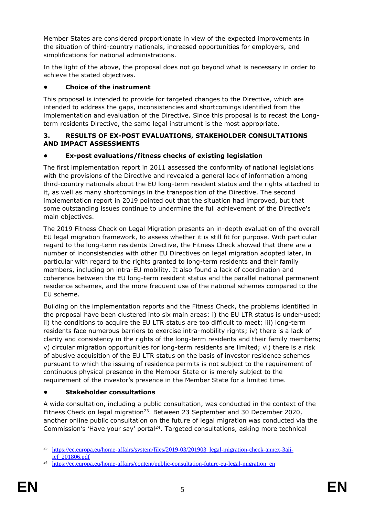Member States are considered proportionate in view of the expected improvements in the situation of third-country nationals, increased opportunities for employers, and simplifications for national administrations.

In the light of the above, the proposal does not go beyond what is necessary in order to achieve the stated objectives.

## **• Choice of the instrument**

This proposal is intended to provide for targeted changes to the Directive, which are intended to address the gaps, inconsistencies and shortcomings identified from the implementation and evaluation of the Directive. Since this proposal is to recast the Longterm residents Directive, the same legal instrument is the most appropriate.

#### **3. RESULTS OF EX-POST EVALUATIONS, STAKEHOLDER CONSULTATIONS AND IMPACT ASSESSMENTS**

## **• Ex-post evaluations/fitness checks of existing legislation**

The first implementation report in 2011 assessed the conformity of national legislations with the provisions of the Directive and revealed a general lack of information among third-country nationals about the EU long-term resident status and the rights attached to it, as well as many shortcomings in the transposition of the Directive. The second implementation report in 2019 pointed out that the situation had improved, but that some outstanding issues continue to undermine the full achievement of the Directive's main objectives.

The 2019 Fitness Check on Legal Migration presents an in-depth evaluation of the overall EU legal migration framework, to assess whether it is still fit for purpose. With particular regard to the long-term residents Directive, the Fitness Check showed that there are a number of inconsistencies with other EU Directives on legal migration adopted later, in particular with regard to the rights granted to long-term residents and their family members, including on intra-EU mobility. It also found a lack of coordination and coherence between the EU long-term resident status and the parallel national permanent residence schemes, and the more frequent use of the national schemes compared to the EU scheme.

Building on the implementation reports and the Fitness Check, the problems identified in the proposal have been clustered into six main areas: i) the EU LTR status is under-used; ii) the conditions to acquire the EU LTR status are too difficult to meet; iii) long-term residents face numerous barriers to exercise intra-mobility rights; iv) there is a lack of clarity and consistency in the rights of the long-term residents and their family members; v) circular migration opportunities for long-term residents are limited; vi) there is a risk of abusive acquisition of the EU LTR status on the basis of investor residence schemes pursuant to which the issuing of residence permits is not subject to the requirement of continuous physical presence in the Member State or is merely subject to the requirement of the investor's presence in the Member State for a limited time.

## **• Stakeholder consultations**

A wide consultation, including a public consultation, was conducted in the context of the Fitness Check on legal migration<sup>23</sup>. Between 23 September and 30 December 2020, another online public consultation on the future of legal migration was conducted via the Commission's 'Have your say' portal<sup>24</sup>. Targeted consultations, asking more technical

<sup>23</sup> [https://ec.europa.eu/home-affairs/system/files/2019-03/201903\\_legal-migration-check-annex-3aii](https://ec.europa.eu/home-affairs/system/files/2019-03/201903_legal-migration-check-annex-3aii-icf_201806.pdf)[icf\\_201806.pdf](https://ec.europa.eu/home-affairs/system/files/2019-03/201903_legal-migration-check-annex-3aii-icf_201806.pdf)

<sup>&</sup>lt;sup>24</sup> [https://ec.europa.eu/home-affairs/content/public-consultation-future-eu-legal-migration\\_en](https://ec.europa.eu/home-affairs/content/public-consultation-future-eu-legal-migration_en)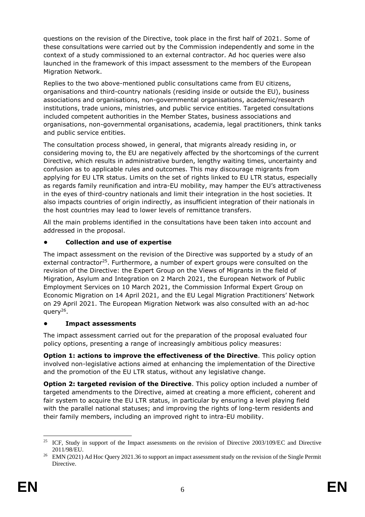questions on the revision of the Directive, took place in the first half of 2021. Some of these consultations were carried out by the Commission independently and some in the context of a study commissioned to an external contractor. Ad hoc queries were also launched in the framework of this impact assessment to the members of the European Migration Network.

Replies to the two above-mentioned public consultations came from EU citizens, organisations and third-country nationals (residing inside or outside the EU), business associations and organisations, non-governmental organisations, academic/research institutions, trade unions, ministries, and public service entities. Targeted consultations included competent authorities in the Member States, business associations and organisations, non-governmental organisations, academia, legal practitioners, think tanks and public service entities.

The consultation process showed, in general, that migrants already residing in, or considering moving to, the EU are negatively affected by the shortcomings of the current Directive, which results in administrative burden, lengthy waiting times, uncertainty and confusion as to applicable rules and outcomes. This may discourage migrants from applying for EU LTR status. Limits on the set of rights linked to EU LTR status, especially as regards family reunification and intra-EU mobility, may hamper the EU's attractiveness in the eyes of third-country nationals and limit their integration in the host societies. It also impacts countries of origin indirectly, as insufficient integration of their nationals in the host countries may lead to lower levels of remittance transfers.

All the main problems identified in the consultations have been taken into account and addressed in the proposal.

## **• Collection and use of expertise**

The impact assessment on the revision of the Directive was supported by a study of an external contractor<sup>25</sup>. Furthermore, a number of expert groups were consulted on the revision of the Directive: the Expert Group on the Views of Migrants in the field of Migration, Asylum and Integration on 2 March 2021, the European Network of Public Employment Services on 10 March 2021, the Commission Informal Expert Group on Economic Migration on 14 April 2021, and the EU Legal Migration Practitioners' Network on 29 April 2021. The European Migration Network was also consulted with an ad-hoc query<sup>26</sup>.

## **• Impact assessments**

The impact assessment carried out for the preparation of the proposal evaluated four policy options, presenting a range of increasingly ambitious policy measures:

**Option 1: actions to improve the effectiveness of the Directive**. This policy option involved non-legislative actions aimed at enhancing the implementation of the Directive and the promotion of the EU LTR status, without any legislative change.

**Option 2: targeted revision of the Directive**. This policy option included a number of targeted amendments to the Directive, aimed at creating a more efficient, coherent and fair system to acquire the EU LTR status, in particular by ensuring a level playing field with the parallel national statuses; and improving the rights of long-term residents and their family members, including an improved right to intra-EU mobility.

<sup>1</sup> <sup>25</sup> ICF, Study in support of the Impact assessments on the revision of Directive 2003/109/EC and Directive 2011/98/EU.

<sup>&</sup>lt;sup>26</sup> EMN (2021) Ad Hoc Query 2021.36 to support an impact assessment study on the revision of the Single Permit Directive.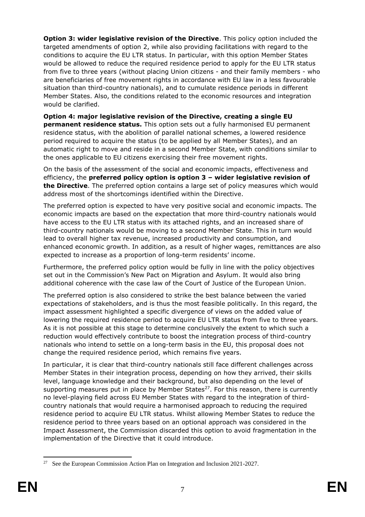**Option 3: wider legislative revision of the Directive**. This policy option included the targeted amendments of option 2, while also providing facilitations with regard to the conditions to acquire the EU LTR status. In particular, with this option Member States would be allowed to reduce the required residence period to apply for the EU LTR status from five to three years (without placing Union citizens - and their family members - who are beneficiaries of free movement rights in accordance with EU law in a less favourable situation than third-country nationals), and to cumulate residence periods in different Member States. Also, the conditions related to the economic resources and integration would be clarified.

**Option 4: major legislative revision of the Directive, creating a single EU permanent residence status.** This option sets out a fully harmonised EU permanent residence status, with the abolition of parallel national schemes, a lowered residence period required to acquire the status (to be applied by all Member States), and an automatic right to move and reside in a second Member State, with conditions similar to the ones applicable to EU citizens exercising their free movement rights.

On the basis of the assessment of the social and economic impacts, effectiveness and efficiency, the **preferred policy option is option 3 – wider legislative revision of the Directive**. The preferred option contains a large set of policy measures which would address most of the shortcomings identified within the Directive.

The preferred option is expected to have very positive social and economic impacts. The economic impacts are based on the expectation that more third-country nationals would have access to the EU LTR status with its attached rights, and an increased share of third-country nationals would be moving to a second Member State. This in turn would lead to overall higher tax revenue, increased productivity and consumption, and enhanced economic growth. In addition, as a result of higher wages, remittances are also expected to increase as a proportion of long-term residents' income.

Furthermore, the preferred policy option would be fully in line with the policy objectives set out in the Commission's New Pact on Migration and Asylum. It would also bring additional coherence with the case law of the Court of Justice of the European Union.

The preferred option is also considered to strike the best balance between the varied expectations of stakeholders, and is thus the most feasible politically. In this regard, the impact assessment highlighted a specific divergence of views on the added value of lowering the required residence period to acquire EU LTR status from five to three years. As it is not possible at this stage to determine conclusively the extent to which such a reduction would effectively contribute to boost the integration process of third-country nationals who intend to settle on a long-term basis in the EU, this proposal does not change the required residence period, which remains five years.

In particular, it is clear that third-country nationals still face different challenges across Member States in their integration process, depending on how they arrived, their skills level, language knowledge and their background, but also depending on the level of supporting measures put in place by Member States<sup>27</sup>. For this reason, there is currently no level-playing field across EU Member States with regard to the integration of thirdcountry nationals that would require a harmonised approach to reducing the required residence period to acquire EU LTR status. Whilst allowing Member States to reduce the residence period to three years based on an optional approach was considered in the Impact Assessment, the Commission discarded this option to avoid fragmentation in the implementation of the Directive that it could introduce.

<sup>1</sup> <sup>27</sup> See the European Commission Action Plan on Integration and Inclusion 2021-2027.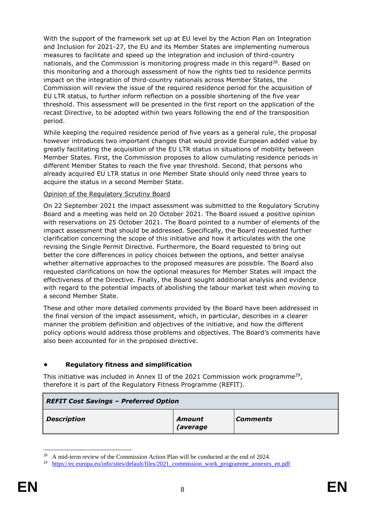With the support of the framework set up at EU level by the Action Plan on Integration and Inclusion for 2021-27, the EU and its Member States are implementing numerous measures to facilitate and speed up the integration and inclusion of third-country nationals, and the Commission is monitoring progress made in this regard<sup>28</sup>. Based on this monitoring and a thorough assessment of how the rights tied to residence permits impact on the integration of third-country nationals across Member States, the Commission will review the issue of the required residence period for the acquisition of EU LTR status, to further inform reflection on a possible shortening of the five year threshold. This assessment will be presented in the first report on the application of the recast Directive, to be adopted within two years following the end of the transposition period.

While keeping the required residence period of five years as a general rule, the proposal however introduces two important changes that would provide European added value by greatly facilitating the acquisition of the EU LTR status in situations of mobility between Member States. First, the Commission proposes to allow cumulating residence periods in different Member States to reach the five year threshold. Second, that persons who already acquired EU LTR status in one Member State should only need three years to acquire the status in a second Member State.

#### Opinion of the Regulatory Scrutiny Board

On 22 September 2021 the impact assessment was submitted to the Regulatory Scrutiny Board and a meeting was held on 20 October 2021. The Board issued a positive opinion with reservations on 25 October 2021. The Board pointed to a number of elements of the impact assessment that should be addressed. Specifically, the Board requested further clarification concerning the scope of this initiative and how it articulates with the one revising the Single Permit Directive. Furthermore, the Board requested to bring out better the core differences in policy choices between the options, and better analyse whether alternative approaches to the proposed measures are possible. The Board also requested clarifications on how the optional measures for Member States will impact the effectiveness of the Directive. Finally, the Board sought additional analysis and evidence with regard to the potential impacts of abolishing the labour market test when moving to a second Member State.

These and other more detailed comments provided by the Board have been addressed in the final version of the impact assessment, which, in particular, describes in a clearer manner the problem definition and objectives of the initiative, and how the different policy options would address those problems and objectives. The Board's comments have also been accounted for in the proposed directive.

#### **• Regulatory fitness and simplification**

This initiative was included in Annex II of the 2021 Commission work programme<sup>29</sup>, therefore it is part of the Regulatory Fitness Programme (REFIT).

| <b>REFIT Cost Savings - Preferred Option</b> |                           |                 |  |
|----------------------------------------------|---------------------------|-----------------|--|
| <b>Description</b>                           | Amount<br><i>(average</i> | <b>Comments</b> |  |

<sup>&</sup>lt;sup>28</sup> A mid-term review of the Commission Action Plan will be conducted at the end of 2024.

<sup>&</sup>lt;sup>29</sup> [https://ec.europa.eu/info/sites/default/files/2021\\_commission\\_work\\_programme\\_annexes\\_en.pdf](https://ec.europa.eu/info/sites/default/files/2021_commission_work_programme_annexes_en.pdf)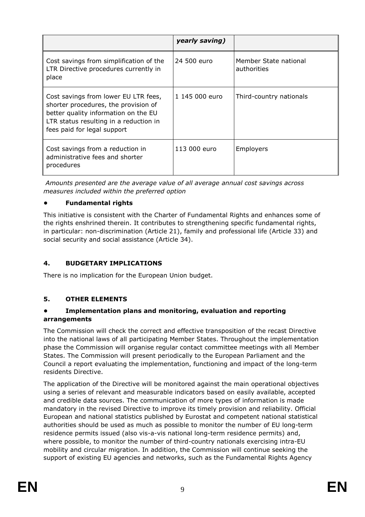|                                                                                                                                                                                               | yearly saving) |                                      |
|-----------------------------------------------------------------------------------------------------------------------------------------------------------------------------------------------|----------------|--------------------------------------|
| Cost savings from simplification of the<br>LTR Directive procedures currently in<br>place                                                                                                     | 24 500 euro    | Member State national<br>authorities |
| Cost savings from lower EU LTR fees,<br>shorter procedures, the provision of<br>better quality information on the EU<br>LTR status resulting in a reduction in<br>fees paid for legal support | 1 145 000 euro | Third-country nationals              |
| Cost savings from a reduction in<br>administrative fees and shorter<br>procedures                                                                                                             | 113 000 euro   | Employers                            |

*Amounts presented are the average value of all average annual cost savings across measures included within the preferred option*

### **• Fundamental rights**

This initiative is consistent with the Charter of Fundamental Rights and enhances some of the rights enshrined therein. It contributes to strengthening specific fundamental rights, in particular: non-discrimination (Article 21), family and professional life (Article 33) and social security and social assistance (Article 34).

## **4. BUDGETARY IMPLICATIONS**

There is no implication for the European Union budget.

#### **5. OTHER ELEMENTS**

#### **• Implementation plans and monitoring, evaluation and reporting arrangements**

The Commission will check the correct and effective transposition of the recast Directive into the national laws of all participating Member States. Throughout the implementation phase the Commission will organise regular contact committee meetings with all Member States. The Commission will present periodically to the European Parliament and the Council a report evaluating the implementation, functioning and impact of the long-term residents Directive.

The application of the Directive will be monitored against the main operational objectives using a series of relevant and measurable indicators based on easily available, accepted and credible data sources. The communication of more types of information is made mandatory in the revised Directive to improve its timely provision and reliability. Official European and national statistics published by Eurostat and competent national statistical authorities should be used as much as possible to monitor the number of EU long-term residence permits issued (also vis-a-vis national long-term residence permits) and, where possible, to monitor the number of third-country nationals exercising intra-EU mobility and circular migration. In addition, the Commission will continue seeking the support of existing EU agencies and networks, such as the Fundamental Rights Agency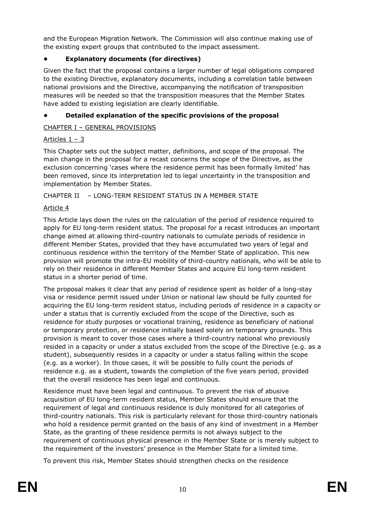and the European Migration Network. The Commission will also continue making use of the existing expert groups that contributed to the impact assessment.

## **• Explanatory documents (for directives)**

Given the fact that the proposal contains a larger number of legal obligations compared to the existing Directive, explanatory documents, including a correlation table between national provisions and the Directive, accompanying the notification of transposition measures will be needed so that the transposition measures that the Member States have added to existing legislation are clearly identifiable.

## **• Detailed explanation of the specific provisions of the proposal**

## CHAPTER I – GENERAL PROVISIONS

## Articles 1 – 3

This Chapter sets out the subject matter, definitions, and scope of the proposal. The main change in the proposal for a recast concerns the scope of the Directive, as the exclusion concerning 'cases where the residence permit has been formally limited' has been removed, since its interpretation led to legal uncertainty in the transposition and implementation by Member States.

CHAPTER II – LONG-TERM RESIDENT STATUS IN A MEMBER STATE

## Article 4

This Article lays down the rules on the calculation of the period of residence required to apply for EU long-term resident status. The proposal for a recast introduces an important change aimed at allowing third-country nationals to cumulate periods of residence in different Member States, provided that they have accumulated two years of legal and continuous residence within the territory of the Member State of application. This new provision will promote the intra-EU mobility of third-country nationals, who will be able to rely on their residence in different Member States and acquire EU long-term resident status in a shorter period of time.

The proposal makes it clear that any period of residence spent as holder of a long-stay visa or residence permit issued under Union or national law should be fully counted for acquiring the EU long-term resident status, including periods of residence in a capacity or under a status that is currently excluded from the scope of the Directive, such as residence for study purposes or vocational training, residence as beneficiary of national or temporary protection, or residence initially based solely on temporary grounds. This provision is meant to cover those cases where a third-country national who previously resided in a capacity or under a status excluded from the scope of the Directive (e.g. as a student), subsequently resides in a capacity or under a status falling within the scope (e.g. as a worker). In those cases, it will be possible to fully count the periods of residence e.g. as a student, towards the completion of the five years period, provided that the overall residence has been legal and continuous.

Residence must have been legal and continuous. To prevent the risk of abusive acquisition of EU long-term resident status, Member States should ensure that the requirement of legal and continuous residence is duly monitored for all categories of third-country nationals. This risk is particularly relevant for those third-country nationals who hold a residence permit granted on the basis of any kind of investment in a Member State, as the granting of these residence permits is not always subject to the requirement of continuous physical presence in the Member State or is merely subject to the requirement of the investors' presence in the Member State for a limited time.

To prevent this risk, Member States should strengthen checks on the residence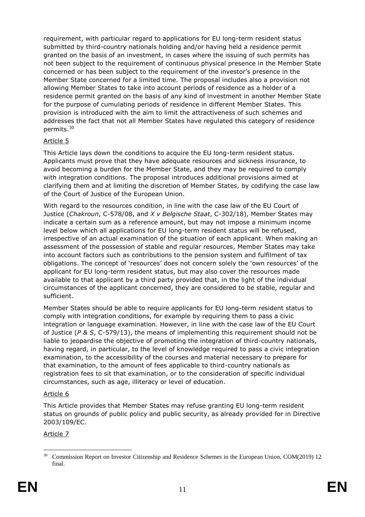requirement, with particular regard to applications for EU long-term resident status submitted by third-country nationals holding and/or having held a residence permit granted on the basis of an investment, in cases where the issuing of such permits has not been subject to the requirement of continuous physical presence in the Member State concerned or has been subject to the requirement of the investor's presence in the Member State concerned for a limited time. The proposal includes also a provision not allowing Member States to take into account periods of residence as a holder of a residence permit granted on the basis of any kind of investment in another Member State for the purpose of cumulating periods of residence in different Member States. This provision is introduced with the aim to limit the attractiveness of such schemes and addresses the fact that not all Member States have regulated this category of residence permits.<sup>30</sup>

## Article 5

This Article lays down the conditions to acquire the EU long-term resident status. Applicants must prove that they have adequate resources and sickness insurance, to avoid becoming a burden for the Member State, and they may be required to comply with integration conditions. The proposal introduces additional provisions aimed at clarifying them and at limiting the discretion of Member States, by codifying the case law of the Court of Justice of the European Union.

With regard to the resources condition, in line with the case law of the EU Court of Justice (*Chakroun*, C-578/08, and *X v Belgische Staat*, C-302/18), Member States may indicate a certain sum as a reference amount, but may not impose a minimum income level below which all applications for EU long-term resident status will be refused, irrespective of an actual examination of the situation of each applicant. When making an assessment of the possession of stable and regular resources, Member States may take into account factors such as contributions to the pension system and fulfilment of tax obligations. The concept of 'resources' does not concern solely the 'own resources' of the applicant for EU long-term resident status, but may also cover the resources made available to that applicant by a third party provided that, in the light of the individual circumstances of the applicant concerned, they are considered to be stable, regular and sufficient.

Member States should be able to require applicants for EU long-term resident status to comply with integration conditions, for example by requiring them to pass a civic integration or language examination. However, in line with the case law of the EU Court of Justice (*P & S*, C-579/13), the means of implementing this requirement should not be liable to jeopardise the objective of promoting the integration of third-country nationals, having regard, in particular, to the level of knowledge required to pass a civic integration examination, to the accessibility of the courses and material necessary to prepare for that examination, to the amount of fees applicable to third-country nationals as registration fees to sit that examination, or to the consideration of specific individual circumstances, such as age, illiteracy or level of education.

## Article 6

This Article provides that Member States may refuse granting EU long-term resident status on grounds of public policy and public security, as already provided for in Directive 2003/109/EC.

## Article 7

 <sup>30</sup> Commission Report on Investor Citizenship and Residence Schemes in the European Union, COM(2019) 12 final.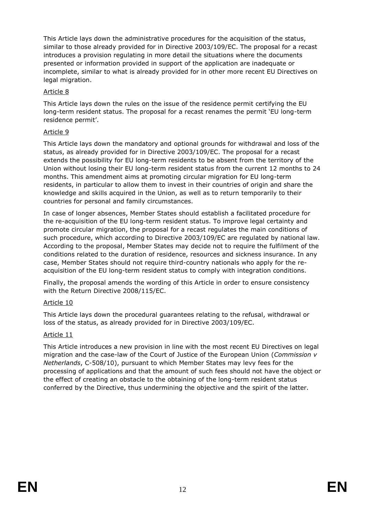This Article lays down the administrative procedures for the acquisition of the status, similar to those already provided for in Directive 2003/109/EC. The proposal for a recast introduces a provision regulating in more detail the situations where the documents presented or information provided in support of the application are inadequate or incomplete, similar to what is already provided for in other more recent EU Directives on legal migration.

#### Article 8

This Article lays down the rules on the issue of the residence permit certifying the EU long-term resident status. The proposal for a recast renames the permit 'EU long-term residence permit'.

### Article 9

This Article lays down the mandatory and optional grounds for withdrawal and loss of the status, as already provided for in Directive 2003/109/EC. The proposal for a recast extends the possibility for EU long-term residents to be absent from the territory of the Union without losing their EU long-term resident status from the current 12 months to 24 months. This amendment aims at promoting circular migration for EU long-term residents, in particular to allow them to invest in their countries of origin and share the knowledge and skills acquired in the Union, as well as to return temporarily to their countries for personal and family circumstances.

In case of longer absences, Member States should establish a facilitated procedure for the re-acquisition of the EU long-term resident status. To improve legal certainty and promote circular migration, the proposal for a recast regulates the main conditions of such procedure, which according to Directive 2003/109/EC are regulated by national law. According to the proposal, Member States may decide not to require the fulfilment of the conditions related to the duration of residence, resources and sickness insurance. In any case, Member States should not require third-country nationals who apply for the reacquisition of the EU long-term resident status to comply with integration conditions.

Finally, the proposal amends the wording of this Article in order to ensure consistency with the Return Directive 2008/115/EC.

#### Article 10

This Article lays down the procedural guarantees relating to the refusal, withdrawal or loss of the status, as already provided for in Directive 2003/109/EC.

#### Article 11

This Article introduces a new provision in line with the most recent EU Directives on legal migration and the case-law of the Court of Justice of the European Union (*Commission v Netherlands*, C-508/10), pursuant to which Member States may levy fees for the processing of applications and that the amount of such fees should not have the object or the effect of creating an obstacle to the obtaining of the long-term resident status conferred by the Directive, thus undermining the objective and the spirit of the latter.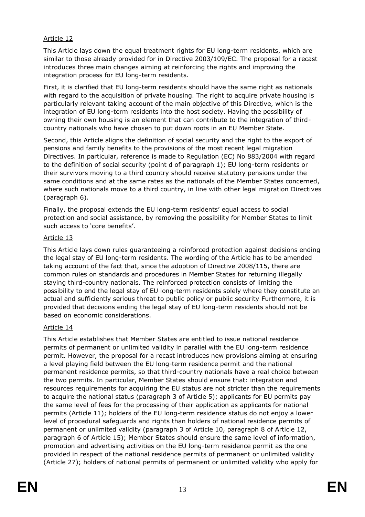### Article 12

This Article lays down the equal treatment rights for EU long-term residents, which are similar to those already provided for in Directive 2003/109/EC. The proposal for a recast introduces three main changes aiming at reinforcing the rights and improving the integration process for EU long-term residents.

First, it is clarified that EU long-term residents should have the same right as nationals with regard to the acquisition of private housing. The right to acquire private housing is particularly relevant taking account of the main objective of this Directive, which is the integration of EU long-term residents into the host society. Having the possibility of owning their own housing is an element that can contribute to the integration of thirdcountry nationals who have chosen to put down roots in an EU Member State.

Second, this Article aligns the definition of social security and the right to the export of pensions and family benefits to the provisions of the most recent legal migration Directives. In particular, reference is made to Regulation (EC) No 883/2004 with regard to the definition of social security (point d of paragraph 1); EU long-term residents or their survivors moving to a third country should receive statutory pensions under the same conditions and at the same rates as the nationals of the Member States concerned, where such nationals move to a third country, in line with other legal migration Directives (paragraph 6).

Finally, the proposal extends the EU long-term residents' equal access to social protection and social assistance, by removing the possibility for Member States to limit such access to 'core benefits'.

#### Article 13

This Article lays down rules guaranteeing a reinforced protection against decisions ending the legal stay of EU long-term residents. The wording of the Article has to be amended taking account of the fact that, since the adoption of Directive 2008/115, there are common rules on standards and procedures in Member States for returning illegally staying third-country nationals. The reinforced protection consists of limiting the possibility to end the legal stay of EU long-term residents solely where they constitute an actual and sufficiently serious threat to public policy or public security Furthermore, it is provided that decisions ending the legal stay of EU long-term residents should not be based on economic considerations.

#### Article 14

This Article establishes that Member States are entitled to issue national residence permits of permanent or unlimited validity in parallel with the EU long-term residence permit. However, the proposal for a recast introduces new provisions aiming at ensuring a level playing field between the EU long-term residence permit and the national permanent residence permits, so that third-country nationals have a real choice between the two permits. In particular, Member States should ensure that: integration and resources requirements for acquiring the EU status are not stricter than the requirements to acquire the national status (paragraph 3 of Article 5); applicants for EU permits pay the same level of fees for the processing of their application as applicants for national permits (Article 11); holders of the EU long-term residence status do not enjoy a lower level of procedural safeguards and rights than holders of national residence permits of permanent or unlimited validity (paragraph 3 of Article 10, paragraph 8 of Article 12, paragraph 6 of Article 15); Member States should ensure the same level of information, promotion and advertising activities on the EU long-term residence permit as the one provided in respect of the national residence permits of permanent or unlimited validity (Article 27); holders of national permits of permanent or unlimited validity who apply for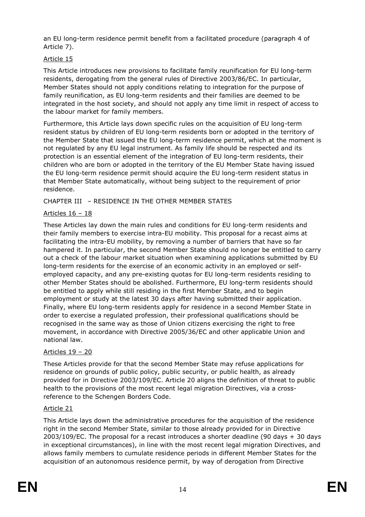an EU long-term residence permit benefit from a facilitated procedure (paragraph 4 of Article 7).

### Article 15

This Article introduces new provisions to facilitate family reunification for EU long-term residents, derogating from the general rules of Directive 2003/86/EC. In particular, Member States should not apply conditions relating to integration for the purpose of family reunification, as EU long-term residents and their families are deemed to be integrated in the host society, and should not apply any time limit in respect of access to the labour market for family members.

Furthermore, this Article lays down specific rules on the acquisition of EU long-term resident status by children of EU long-term residents born or adopted in the territory of the Member State that issued the EU long-term residence permit, which at the moment is not regulated by any EU legal instrument. As family life should be respected and its protection is an essential element of the integration of EU long-term residents, their children who are born or adopted in the territory of the EU Member State having issued the EU long-term residence permit should acquire the EU long-term resident status in that Member State automatically, without being subject to the requirement of prior residence.

CHAPTER III – RESIDENCE IN THE OTHER MEMBER STATES

## Articles 16 – 18

These Articles lay down the main rules and conditions for EU long-term residents and their family members to exercise intra-EU mobility. This proposal for a recast aims at facilitating the intra-EU mobility, by removing a number of barriers that have so far hampered it. In particular, the second Member State should no longer be entitled to carry out a check of the labour market situation when examining applications submitted by EU long-term residents for the exercise of an economic activity in an employed or selfemployed capacity, and any pre-existing quotas for EU long-term residents residing to other Member States should be abolished. Furthermore, EU long-term residents should be entitled to apply while still residing in the first Member State, and to begin employment or study at the latest 30 days after having submitted their application. Finally, where EU long-term residents apply for residence in a second Member State in order to exercise a regulated profession, their professional qualifications should be recognised in the same way as those of Union citizens exercising the right to free movement, in accordance with Directive 2005/36/EC and other applicable Union and national law.

## Articles 19 – 20

These Articles provide for that the second Member State may refuse applications for residence on grounds of public policy, public security, or public health, as already provided for in Directive 2003/109/EC. Article 20 aligns the definition of threat to public health to the provisions of the most recent legal migration Directives, via a crossreference to the Schengen Borders Code.

#### Article 21

This Article lays down the administrative procedures for the acquisition of the residence right in the second Member State, similar to those already provided for in Directive 2003/109/EC. The proposal for a recast introduces a shorter deadline (90 days + 30 days in exceptional circumstances), in line with the most recent legal migration Directives, and allows family members to cumulate residence periods in different Member States for the acquisition of an autonomous residence permit, by way of derogation from Directive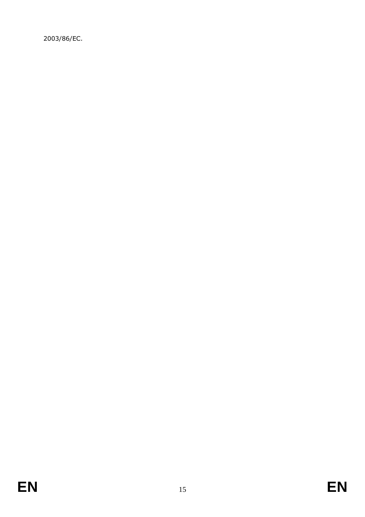2003/86/EC.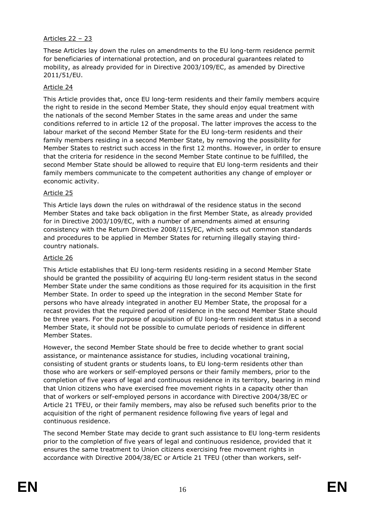### Articles 22 – 23

These Articles lay down the rules on amendments to the EU long-term residence permit for beneficiaries of international protection, and on procedural guarantees related to mobility, as already provided for in Directive 2003/109/EC, as amended by Directive 2011/51/EU.

#### Article 24

This Article provides that, once EU long-term residents and their family members acquire the right to reside in the second Member State, they should enjoy equal treatment with the nationals of the second Member States in the same areas and under the same conditions referred to in article 12 of the proposal. The latter improves the access to the labour market of the second Member State for the EU long-term residents and their family members residing in a second Member State, by removing the possibility for Member States to restrict such access in the first 12 months. However, in order to ensure that the criteria for residence in the second Member State continue to be fulfilled, the second Member State should be allowed to require that EU long-term residents and their family members communicate to the competent authorities any change of employer or economic activity.

#### Article 25

This Article lays down the rules on withdrawal of the residence status in the second Member States and take back obligation in the first Member State, as already provided for in Directive 2003/109/EC, with a number of amendments aimed at ensuring consistency with the Return Directive 2008/115/EC, which sets out common standards and procedures to be applied in Member States for returning illegally staying thirdcountry nationals.

#### Article 26

This Article establishes that EU long-term residents residing in a second Member State should be granted the possibility of acquiring EU long-term resident status in the second Member State under the same conditions as those required for its acquisition in the first Member State. In order to speed up the integration in the second Member State for persons who have already integrated in another EU Member State, the proposal for a recast provides that the required period of residence in the second Member State should be three years. For the purpose of acquisition of EU long-term resident status in a second Member State, it should not be possible to cumulate periods of residence in different Member States.

However, the second Member State should be free to decide whether to grant social assistance, or maintenance assistance for studies, including vocational training, consisting of student grants or students loans, to EU long-term residents other than those who are workers or self-employed persons or their family members, prior to the completion of five years of legal and continuous residence in its territory, bearing in mind that Union citizens who have exercised free movement rights in a capacity other than that of workers or self-employed persons in accordance with Directive 2004/38/EC or Article 21 TFEU, or their family members, may also be refused such benefits prior to the acquisition of the right of permanent residence following five years of legal and continuous residence.

The second Member State may decide to grant such assistance to EU long-term residents prior to the completion of five years of legal and continuous residence, provided that it ensures the same treatment to Union citizens exercising free movement rights in accordance with Directive 2004/38/EC or Article 21 TFEU (other than workers, self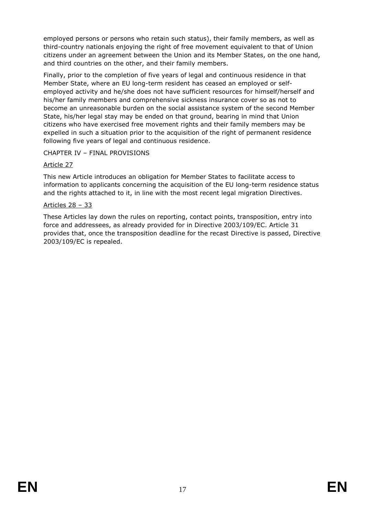employed persons or persons who retain such status), their family members, as well as third-country nationals enjoying the right of free movement equivalent to that of Union citizens under an agreement between the Union and its Member States, on the one hand, and third countries on the other, and their family members.

Finally, prior to the completion of five years of legal and continuous residence in that Member State, where an EU long-term resident has ceased an employed or selfemployed activity and he/she does not have sufficient resources for himself/herself and his/her family members and comprehensive sickness insurance cover so as not to become an unreasonable burden on the social assistance system of the second Member State, his/her legal stay may be ended on that ground, bearing in mind that Union citizens who have exercised free movement rights and their family members may be expelled in such a situation prior to the acquisition of the right of permanent residence following five years of legal and continuous residence.

## CHAPTER IV – FINAL PROVISIONS

### Article 27

This new Article introduces an obligation for Member States to facilitate access to information to applicants concerning the acquisition of the EU long-term residence status and the rights attached to it, in line with the most recent legal migration Directives.

#### Articles 28 – 33

These Articles lay down the rules on reporting, contact points, transposition, entry into force and addressees, as already provided for in Directive 2003/109/EC. Article 31 provides that, once the transposition deadline for the recast Directive is passed, Directive 2003/109/EC is repealed.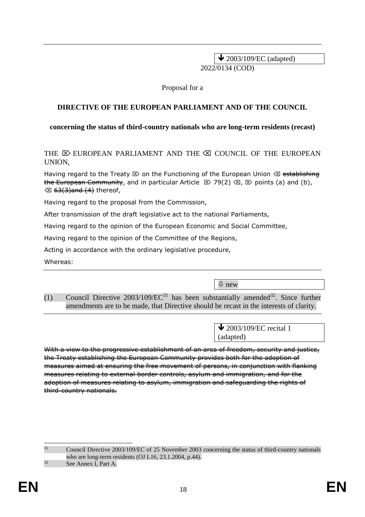$\blacktriangleright$  2003/109/EC (adapted) 2022/0134 (COD)

Proposal for a

### **DIRECTIVE OF THE EUROPEAN PARLIAMENT AND OF THE COUNCIL**

#### **concerning the status of third-country nationals who are long-term residents (recast)**

THE  $\overline{R}$  EUROPEAN PARLIAMENT AND THE  $\overline{R}$  COUNCIL OF THE EUROPEAN UNION,

Having regard to the Treaty  $\otimes$  on the Functioning of the European Union  $\otimes$  establishing the European Community, and in particular Article  $\mathbb{E}$  79(2)  $\mathbb{E}$ ,  $\mathbb{E}$  points (a) and (b),  $\otimes$  <del>63(3)and (4)</del> thereof,

Having regard to the proposal from the Commission,

After transmission of the draft legislative act to the national Parliaments,

Having regard to the opinion of the European Economic and Social Committee,

Having regard to the opinion of the Committee of the Regions,

Acting in accordance with the ordinary legislative procedure,

Whereas:

new

(1) Council Directive  $2003/109/EC^{31}$  has been substantially amended<sup>32</sup>. Since further amendments are to be made, that Directive should be recast in the interests of clarity.

> $\bigvee$  2003/109/EC recital 1 (adapted)

With a view to the progressive establishment of an area of freedom, security and justice, the Treaty establishing the European Community provides both for the adoption of measures aimed at ensuring the free movement of persons, in conjunction with flanking measures relating to external border controls, asylum and immigration, and for the adoption of measures relating to asylum, immigration and safeguarding the rights of third-country nationals.

-<sup>31</sup> Council Directive 2003/109/EC of 25 November 2003 concerning the status of third-country nationals who are long-term residents (OJ L16, 23.1.2004, p.44).  $32$  See Annex I, Part A.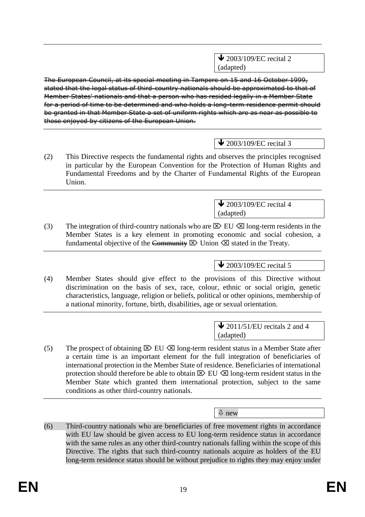$\blacktriangleright$  2003/109/EC recital 2 (adapted)

The European Council, at its special meeting in Tampere on 15 and 16 October 1999, stated that the legal status of third-country nationals should be approximated to that of Member States' nationals and that a person who has resided legally in a Member State for a period of time to be determined and who holds a long-term residence permit should be granted in that Member State a set of uniform rights which are as near as possible to those enjoyed by citizens of the European Union.

## $\bigvee$  2003/109/EC recital 3

(2) This Directive respects the fundamental rights and observes the principles recognised in particular by the European Convention for the Protection of Human Rights and Fundamental Freedoms and by the Charter of Fundamental Rights of the European Union.

> $\blacktriangleright$  2003/109/EC recital 4 (adapted)

(3) The integration of third-country nationals who are  $\boxtimes$  EU  $\boxtimes$  long-term residents in the Member States is a key element in promoting economic and social cohesion, a fundamental objective of the Community  $\boxtimes$  Union  $\boxtimes$  stated in the Treaty.

 $\triangle$  2003/109/EC recital 5

(4) Member States should give effect to the provisions of this Directive without discrimination on the basis of sex, race, colour, ethnic or social origin, genetic characteristics, language, religion or beliefs, political or other opinions, membership of a national minority, fortune, birth, disabilities, age or sexual orientation.

> $\triangle$  2011/51/EU recitals 2 and 4 (adapted)

(5) The prospect of obtaining  $\boxtimes$  EU  $\boxtimes$  long-term resident status in a Member State after a certain time is an important element for the full integration of beneficiaries of international protection in the Member State of residence. Beneficiaries of international protection should therefore be able to obtain  $\boxtimes$  EU  $\boxtimes$  long-term resident status in the Member State which granted them international protection, subject to the same conditions as other third-country nationals.

new

(6) Third-country nationals who are beneficiaries of free movement rights in accordance with EU law should be given access to EU long-term residence status in accordance with the same rules as any other third-country nationals falling within the scope of this Directive. The rights that such third-country nationals acquire as holders of the EU long-term residence status should be without prejudice to rights they may enjoy under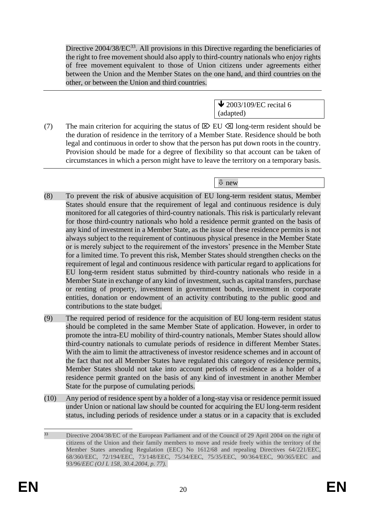Directive  $2004/38/EC^{33}$ . All provisions in this Directive regarding the beneficiaries of the right to free movement should also apply to third-country nationals who enjoy rights of free movement equivalent to those of Union citizens under agreements either between the Union and the Member States on the one hand, and third countries on the other, or between the Union and third countries.

> $\triangle$  2003/109/EC recital 6 (adapted)

(7) The main criterion for acquiring the status of  $\boxtimes$  EU  $\boxtimes$  long-term resident should be the duration of residence in the territory of a Member State. Residence should be both legal and continuous in order to show that the person has put down roots in the country. Provision should be made for a degree of flexibility so that account can be taken of circumstances in which a person might have to leave the territory on a temporary basis.

## new

- (8) To prevent the risk of abusive acquisition of EU long-term resident status, Member States should ensure that the requirement of legal and continuous residence is duly monitored for all categories of third-country nationals. This risk is particularly relevant for those third-country nationals who hold a residence permit granted on the basis of any kind of investment in a Member State, as the issue of these residence permits is not always subject to the requirement of continuous physical presence in the Member State or is merely subject to the requirement of the investors' presence in the Member State for a limited time. To prevent this risk, Member States should strengthen checks on the requirement of legal and continuous residence with particular regard to applications for EU long-term resident status submitted by third-country nationals who reside in a Member State in exchange of any kind of investment, such as capital transfers, purchase or renting of property, investment in government bonds, investment in corporate entities, donation or endowment of an activity contributing to the public good and contributions to the state budget.
- (9) The required period of residence for the acquisition of EU long-term resident status should be completed in the same Member State of application. However, in order to promote the intra-EU mobility of third-country nationals, Member States should allow third-country nationals to cumulate periods of residence in different Member States. With the aim to limit the attractiveness of investor residence schemes and in account of the fact that not all Member States have regulated this category of residence permits, Member States should not take into account periods of residence as a holder of a residence permit granted on the basis of any kind of investment in another Member State for the purpose of cumulating periods.
- (10) Any period of residence spent by a holder of a long-stay visa or residence permit issued under Union or national law should be counted for acquiring the EU long-term resident status, including periods of residence under a status or in a capacity that is excluded

<sup>33</sup> <sup>33</sup> Directive 2004/38/EC of the European Parliament and of the Council of 29 April 2004 on the right of citizens of the Union and their family members to move and reside freely within the territory of the Member States amending Regulation (EEC) No 1612/68 and repealing Directives 64/221/EEC, 68/360/EEC, 72/194/EEC, 73/148/EEC, 75/34/EEC, 75/35/EEC, 90/364/EEC, 90/365/EEC and 93/96/*EEC (OJ L 158, 30.4.2004, p. 77).*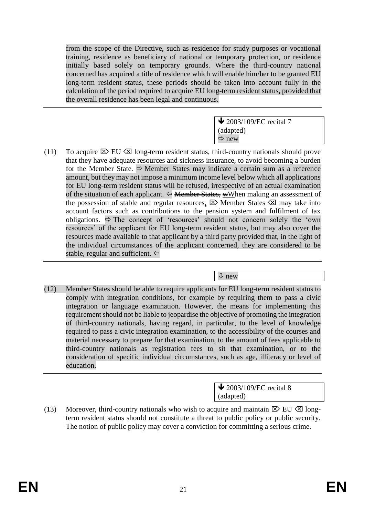from the scope of the Directive, such as residence for study purposes or vocational training, residence as beneficiary of national or temporary protection, or residence initially based solely on temporary grounds. Where the third-country national concerned has acquired a title of residence which will enable him/her to be granted EU long-term resident status, these periods should be taken into account fully in the calculation of the period required to acquire EU long-term resident status, provided that the overall residence has been legal and continuous.

> $\blacktriangleright$  2003/109/EC recital 7 (adapted)  $\Rightarrow$  new

(11) To acquire  $\boxtimes$  EU  $\boxtimes$  long-term resident status, third-country nationals should prove that they have adequate resources and sickness insurance, to avoid becoming a burden for the Member State.  $\Rightarrow$  Member States may indicate a certain sum as a reference amount, but they may not impose a minimum income level below which all applications for EU long-term resident status will be refused, irrespective of an actual examination of the situation of each applicant.  $\Leftrightarrow$  Member States, wWhen making an assessment of the possession of stable and regular resources,  $\boxtimes$  Member States  $\boxtimes$  may take into account factors such as contributions to the pension system and fulfilment of tax obligations.  $\Rightarrow$  The concept of 'resources' should not concern solely the 'own resources' of the applicant for EU long-term resident status, but may also cover the resources made available to that applicant by a third party provided that, in the light of the individual circumstances of the applicant concerned, they are considered to be stable, regular and sufficient.  $\Leftrightarrow$ 

new

(12) Member States should be able to require applicants for EU long-term resident status to comply with integration conditions, for example by requiring them to pass a civic integration or language examination. However, the means for implementing this requirement should not be liable to jeopardise the objective of promoting the integration of third-country nationals, having regard, in particular, to the level of knowledge required to pass a civic integration examination, to the accessibility of the courses and material necessary to prepare for that examination, to the amount of fees applicable to third-country nationals as registration fees to sit that examination, or to the consideration of specific individual circumstances, such as age, illiteracy or level of education.

> **↓** 2003/109/EC recital 8 (adapted)

(13) Moreover, third-country nationals who wish to acquire and maintain  $\boxtimes$  EU  $\boxtimes$  longterm resident status should not constitute a threat to public policy or public security. The notion of public policy may cover a conviction for committing a serious crime.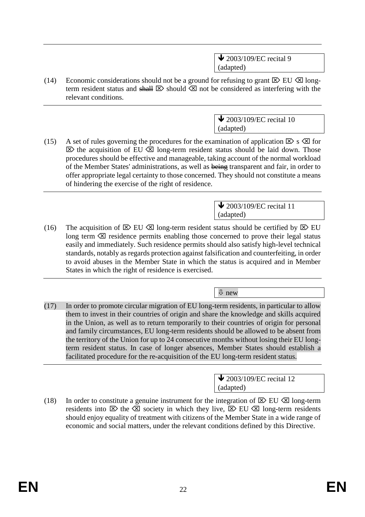$\bigvee$  2003/109/EC recital 9 (adapted)

(14) Economic considerations should not be a ground for refusing to grant  $\boxtimes$  EU  $\boxtimes$  longterm resident status and  $\frac{1}{2}$  should  $\otimes$  not be considered as interfering with the relevant conditions.

> $\triangle$  2003/109/EC recital 10 (adapted)

(15) A set of rules governing the procedures for the examination of application  $\boxtimes$  s  $\boxtimes$  for  $\boxtimes$  the acquisition of EU  $\boxtimes$  long-term resident status should be laid down. Those procedures should be effective and manageable, taking account of the normal workload of the Member States' administrations, as well as being transparent and fair, in order to offer appropriate legal certainty to those concerned. They should not constitute a means of hindering the exercise of the right of residence.

> $\bigvee$  2003/109/EC recital 11 (adapted)

(16) The acquisition of  $\boxtimes$  EU  $\boxtimes$  long-term resident status should be certified by  $\boxtimes$  EU long term  $\otimes$  residence permits enabling those concerned to prove their legal status easily and immediately. Such residence permits should also satisfy high-level technical standards, notably as regards protection against falsification and counterfeiting, in order to avoid abuses in the Member State in which the status is acquired and in Member States in which the right of residence is exercised.

new

(17) In order to promote circular migration of EU long-term residents, in particular to allow them to invest in their countries of origin and share the knowledge and skills acquired in the Union, as well as to return temporarily to their countries of origin for personal and family circumstances, EU long-term residents should be allowed to be absent from the territory of the Union for up to 24 consecutive months without losing their EU longterm resident status. In case of longer absences, Member States should establish a facilitated procedure for the re-acquisition of the EU long-term resident status.

> $\triangle$  2003/109/EC recital 12 (adapted)

(18) In order to constitute a genuine instrument for the integration of  $\boxtimes$  EU  $\boxtimes$  long-term residents into  $\boxtimes$  the  $\boxtimes$  society in which they live,  $\boxtimes$  EU  $\boxtimes$  long-term residents should enjoy equality of treatment with citizens of the Member State in a wide range of economic and social matters, under the relevant conditions defined by this Directive.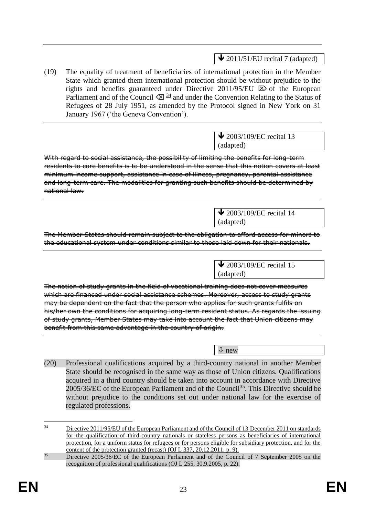$\bigvee$  2011/51/EU recital 7 (adapted)

(19) The equality of treatment of beneficiaries of international protection in the Member State which granted them international protection should be without prejudice to the rights and benefits guaranteed under Directive 2011/95/EU  $\boxtimes$  of the European Parliament and of the Council  $\sqrt{2}$   $\frac{34}{3}$  and under the Convention Relating to the Status of Refugees of 28 July 1951, as amended by the Protocol signed in New York on 31 January 1967 ('the Geneva Convention').

> $\blacktriangleright$  2003/109/EC recital 13 (adapted)

With regard to social assistance, the possibility of limiting the benefits for long-term residents to core benefits is to be understood in the sense that this notion covers at least minimum income support, assistance in case of illness, pregnancy, parental assistance and long-term care. The modalities for granting such benefits should be determined by national law.

> $\bigvee$  2003/109/EC recital 14 (adapted)

> > $\blacklozenge$  2003/109/EC recital 15

The Member States should remain subject to the obligation to afford access for minors to the educational system under conditions similar to those laid down for their nationals.

The notion of study grants in the field of vocational training does not cover measures which are financed under social assistance schemes. Moreover, access to study grants may be dependent on the fact that the person who applies for such grants fulfils on his/her own the conditions for acquiring long-term resident status. As regards the issuing of study grants, Member States may take into account the fact that Union citizens may benefit from this same advantage in the country of origin.

new

(adapted)

(20) Professional qualifications acquired by a third-country national in another Member State should be recognised in the same way as those of Union citizens. Qualifications acquired in a third country should be taken into account in accordance with Directive  $2005/36/EC$  of the European Parliament and of the Council<sup>35</sup>. This Directive should be without prejudice to the conditions set out under national law for the exercise of regulated professions.

 $34$ Directive 2011/95/EU of the European Parliament and of the Council of 13 December 2011 on standards for the qualification of third-country nationals or stateless persons as beneficiaries of international protection, for a uniform status for refugees or for persons eligible for subsidiary protection, and for the content of the protection granted (recast) (OJ L 337, 20.12.2011, p. 9).

<sup>&</sup>lt;sup>35</sup> Directive 2005/36/EC of the European Parliament and of the Council of 7 September 2005 on the recognition of professional qualifications (OJ L 255, 30.9.2005, p. 22).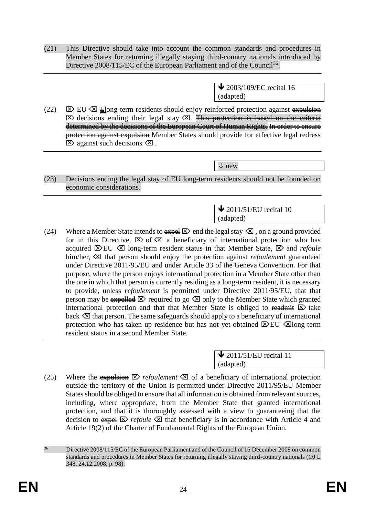(21) This Directive should take into account the common standards and procedures in Member States for returning illegally staying third-country nationals introduced by Directive 2008/115/EC of the European Parliament and of the Council<sup>36</sup>.

> $\triangle$  2003/109/EC recital 16 (adapted)

(22)  $\boxtimes$  EU  $\boxtimes$   $\equiv$ long-term residents should enjoy reinforced protection against expulsion  $\boxtimes$  decisions ending their legal stay  $\boxtimes$ . This protection is based on the criteria determined by the decisions of the European Court of Human Rights. In order to ensure protection against expulsion Member States should provide for effective legal redress  $\boxtimes$  against such decisions  $\boxtimes$ .

new

(23) Decisions ending the legal stay of EU long-term residents should not be founded on economic considerations.

> $\triangle$  2011/51/EU recital 10 (adapted)

(24) Where a Member State intends to  $\frac{1}{2}$  and the legal stay  $\otimes$ , on a ground provided for in this Directive,  $\boxtimes$  of  $\boxtimes$  a beneficiary of international protection who has acquired  $\boxtimes$  EU  $\boxtimes$  long-term resident status in that Member State,  $\boxtimes$  and *refoule* him/her,  $\boxtimes$  that person should enjoy the protection against *refoulement* guaranteed under Directive 2011/95/EU and under Article 33 of the Geneva Convention. For that purpose, where the person enjoys international protection in a Member State other than the one in which that person is currently residing as a long-term resident, it is necessary to provide, unless *refoulement* is permitted under Directive 2011/95/EU, that that person may be expelled  $\boxtimes$  required to go  $\boxtimes$  only to the Member State which granted international protection and that that Member State is obliged to readmit  $\boxtimes$  take back  $\otimes$  that person. The same safeguards should apply to a beneficiary of international protection who has taken up residence but has not yet obtained  $\boxtimes$  EU  $\boxtimes$  long-term resident status in a second Member State.

> $\bigvee$  2011/51/EU recital 11 (adapted)

(25) Where the expulsion  $\boxtimes$  *refoulement*  $\boxtimes$  of a beneficiary of international protection outside the territory of the Union is permitted under Directive 2011/95/EU Member States should be obliged to ensure that all information is obtained from relevant sources, including, where appropriate, from the Member State that granted international protection, and that it is thoroughly assessed with a view to guaranteeing that the decision to  $\frac{d}{dx} \mathbb{E}$  *refoule*  $\otimes$  that beneficiary is in accordance with Article 4 and Article 19(2) of the Charter of Fundamental Rights of the European Union.

<sup>-</sup><sup>36</sup> Directive 2008/115/EC of the European Parliament and of the Council of 16 December 2008 on common standards and procedures in Member States for returning illegally staying third-country nationals (OJ L 348, 24.12.2008, p. 98).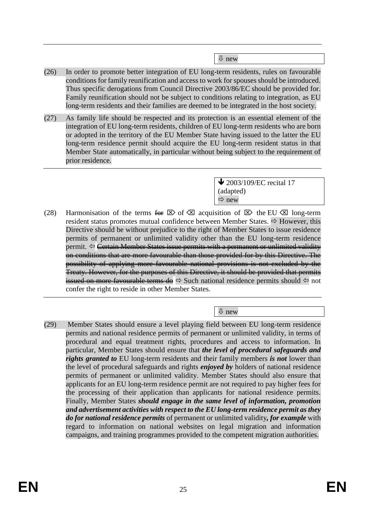new

- (26) In order to promote better integration of EU long-term residents, rules on favourable conditions for family reunification and access to work for spouses should be introduced. Thus specific derogations from Council Directive 2003/86/EC should be provided for. Family reunification should not be subject to conditions relating to integration, as EU long-term residents and their families are deemed to be integrated in the host society.
- (27) As family life should be respected and its protection is an essential element of the integration of EU long-term residents, children of EU long-term residents who are born or adopted in the territory of the EU Member State having issued to the latter the EU long-term residence permit should acquire the EU long-term resident status in that Member State automatically, in particular without being subject to the requirement of prior residence.

 $\bigvee$  2003/109/EC recital 17 (adapted)  $Arr$  new

(28) Harmonisation of the terms  $\overline{\mathbf{e}} \in \mathbb{R}$  of  $\overline{\otimes}$  acquisition of  $\overline{\otimes}$  the EU  $\overline{\otimes}$  long-term resident status promotes mutual confidence between Member States.  $\Rightarrow$  However, this Directive should be without prejudice to the right of Member States to issue residence permits of permanent or unlimited validity other than the EU long-term residence permit.  $\leftarrow$  Certain Member States issue permits with a permanent or unlimited validity on conditions that are more favourable than those provided for by this Directive. The possibility of applying more favourable national provisions is not excluded by the Treaty. However, for the purposes of this Directive, it should be provided that permits issued on more favourable terms do  $\Rightarrow$  Such national residence permits should  $\Leftrightarrow$  not confer the right to reside in other Member States.

new

(29) Member States should ensure a level playing field between EU long-term residence permits and national residence permits of permanent or unlimited validity, in terms of procedural and equal treatment rights, procedures and access to information. In particular, Member States should ensure that *the level of procedural safeguards and rights granted to* EU long-term residents and their family members *is not* lower than the level of procedural safeguards and rights *enjoyed by* holders of national residence permits of permanent or unlimited validity. Member States should also ensure that applicants for an EU long-term residence permit are not required to pay higher fees for the processing of their application than applicants for national residence permits. Finally, Member States *should engage in the same level of information, promotion and advertisement activities with respect to the EU long-term residence permit as they do for national residence permits* of permanent or unlimited validity*, for example* with regard to information on national websites on legal migration and information campaigns, and training programmes provided to the competent migration authorities.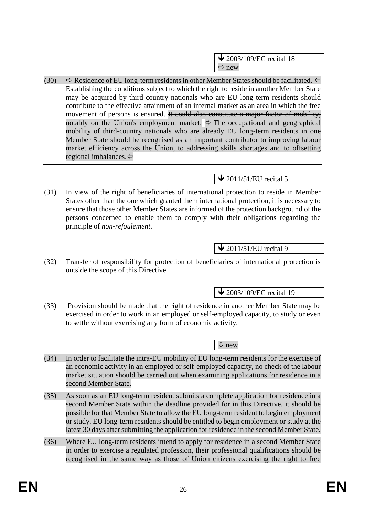(30)  $\Rightarrow$  Residence of EU long-term residents in other Member States should be facilitated.  $\Leftarrow$ Establishing the conditions subject to which the right to reside in another Member State may be acquired by third-country nationals who are EU long-term residents should contribute to the effective attainment of an internal market as an area in which the free movement of persons is ensured. It could also constitute a major factor of mobility, notably on the Union's employment market.  $\Rightarrow$  The occupational and geographical mobility of third-country nationals who are already EU long-term residents in one Member State should be recognised as an important contributor to improving labour market efficiency across the Union, to addressing skills shortages and to offsetting regional imbalances.

# $\bigvee$  2011/51/EU recital 5

(31) In view of the right of beneficiaries of international protection to reside in Member States other than the one which granted them international protection, it is necessary to ensure that those other Member States are informed of the protection background of the persons concerned to enable them to comply with their obligations regarding the principle of *non-refoulement*.

# $\triangle$  2011/51/EU recital 9

(32) Transfer of responsibility for protection of beneficiaries of international protection is outside the scope of this Directive.

 $\bigvee$  2003/109/EC recital 19

(33) Provision should be made that the right of residence in another Member State may be exercised in order to work in an employed or self-employed capacity, to study or even to settle without exercising any form of economic activity.

 $\sqrt{\Psi}$  new

- (34) In order to facilitate the intra-EU mobility of EU long-term residents for the exercise of an economic activity in an employed or self-employed capacity, no check of the labour market situation should be carried out when examining applications for residence in a second Member State.
- (35) As soon as an EU long-term resident submits a complete application for residence in a second Member State within the deadline provided for in this Directive, it should be possible for that Member State to allow the EU long-term resident to begin employment or study. EU long-term residents should be entitled to begin employment or study at the latest 30 days after submitting the application for residence in the second Member State.
- (36) Where EU long-term residents intend to apply for residence in a second Member State in order to exercise a regulated profession, their professional qualifications should be recognised in the same way as those of Union citizens exercising the right to free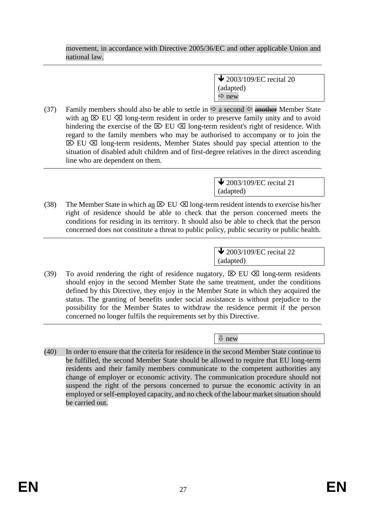movement, in accordance with Directive 2005/36/EC and other applicable Union and national law.

> $\blacklozenge$  2003/109/EC recital 20 (adapted)  $\Rightarrow$  new

(37) Family members should also be able to settle in  $\Rightarrow$  a second  $\Leftarrow$  another Member State with an  $\boxtimes$  EU  $\boxtimes$  long-term resident in order to preserve family unity and to avoid hindering the exercise of the  $\boxtimes$  EU  $\boxtimes$  long-term resident's right of residence. With regard to the family members who may be authorised to accompany or to join the  $\boxtimes$  EU  $\boxtimes$  long-term residents, Member States should pay special attention to the situation of disabled adult children and of first-degree relatives in the direct ascending line who are dependent on them.

> $\bigvee$  2003/109/EC recital 21 (adapted)

(38) The Member State in which an  $\boxtimes$  EU  $\boxtimes$  long-term resident intends to exercise his/her right of residence should be able to check that the person concerned meets the conditions for residing in its territory. It should also be able to check that the person concerned does not constitute a threat to public policy, public security or public health.

> **↓** 2003/109/EC recital 22 (adapted)

(39) To avoid rendering the right of residence nugatory,  $\boxtimes$  EU  $\boxtimes$  long-term residents should enjoy in the second Member State the same treatment, under the conditions defined by this Directive, they enjoy in the Member State in which they acquired the status. The granting of benefits under social assistance is without prejudice to the possibility for the Member States to withdraw the residence permit if the person concerned no longer fulfils the requirements set by this Directive.

new

(40) In order to ensure that the criteria for residence in the second Member State continue to be fulfilled, the second Member State should be allowed to require that EU long-term residents and their family members communicate to the competent authorities any change of employer or economic activity. The communication procedure should not suspend the right of the persons concerned to pursue the economic activity in an employed or self-employed capacity, and no check of the labour market situation should be carried out.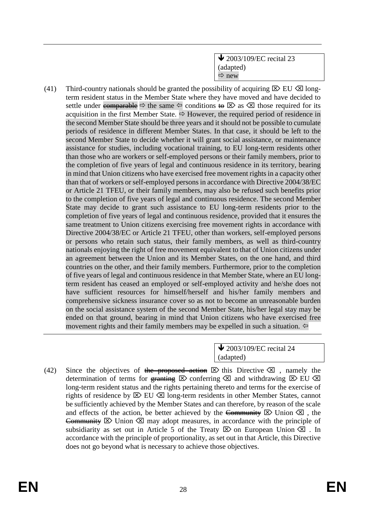$\bigvee$  2003/109/EC recital 23 (adapted)  $\Rightarrow$  new

(41) Third-country nationals should be granted the possibility of acquiring  $\boxtimes$  EU  $\boxtimes$  longterm resident status in the Member State where they have moved and have decided to settle under comparable  $\Rightarrow$  the same  $\Leftrightarrow$  conditions to  $\boxtimes$  as  $\boxtimes$  those required for its acquisition in the first Member State.  $\Rightarrow$  However, the required period of residence in the second Member State should be three years and it should not be possible to cumulate periods of residence in different Member States. In that case, it should be left to the second Member State to decide whether it will grant social assistance, or maintenance assistance for studies, including vocational training, to EU long-term residents other than those who are workers or self-employed persons or their family members, prior to the completion of five years of legal and continuous residence in its territory, bearing in mind that Union citizens who have exercised free movement rights in a capacity other than that of workers or self-employed persons in accordance with Directive 2004/38/EC or Article 21 TFEU, or their family members, may also be refused such benefits prior to the completion of five years of legal and continuous residence. The second Member State may decide to grant such assistance to EU long-term residents prior to the completion of five years of legal and continuous residence, provided that it ensures the same treatment to Union citizens exercising free movement rights in accordance with Directive 2004/38/EC or Article 21 TFEU, other than workers, self-employed persons or persons who retain such status, their family members, as well as third-country nationals enjoying the right of free movement equivalent to that of Union citizens under an agreement between the Union and its Member States, on the one hand, and third countries on the other, and their family members. Furthermore, prior to the completion of five years of legal and continuous residence in that Member State, where an EU longterm resident has ceased an employed or self-employed activity and he/she does not have sufficient resources for himself/herself and his/her family members and comprehensive sickness insurance cover so as not to become an unreasonable burden on the social assistance system of the second Member State, his/her legal stay may be ended on that ground, bearing in mind that Union citizens who have exercised free movement rights and their family members may be expelled in such a situation.  $\Leftrightarrow$ 

> **↓** 2003/109/EC recital 24 (adapted)

(42) Since the objectives of the proposed action  $\boxtimes$  this Directive  $\boxtimes$ , namely the determination of terms for granting  $\boxtimes$  conferring  $\boxtimes$  and withdrawing  $\boxtimes$  EU  $\boxtimes$ long-term resident status and the rights pertaining thereto and terms for the exercise of rights of residence by  $\boxtimes$  EU  $\boxtimes$  long-term residents in other Member States, cannot be sufficiently achieved by the Member States and can therefore, by reason of the scale and effects of the action, be better achieved by the Community  $\boxtimes$  Union  $\boxtimes$ , the Community  $\boxtimes$  Union  $\boxtimes$  may adopt measures, in accordance with the principle of subsidiarity as set out in Article 5 of the Treaty  $\boxtimes$  on European Union  $\boxtimes$ . In accordance with the principle of proportionality, as set out in that Article, this Directive does not go beyond what is necessary to achieve those objectives.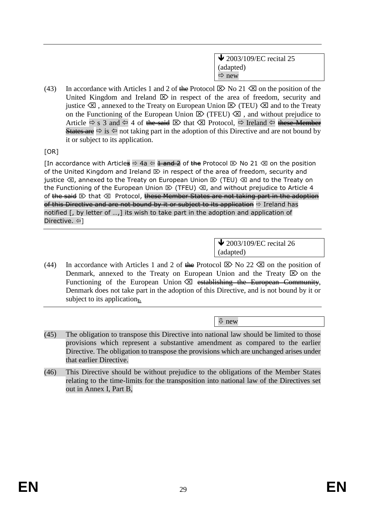$\bigvee$  2003/109/EC recital 25 (adapted)  $\Rightarrow$  new

(43) In accordance with Articles 1 and 2 of the Protocol  $\boxtimes$  No 21  $\boxtimes$  on the position of the United Kingdom and Ireland  $\boxtimes$  in respect of the area of freedom, security and justice  $\otimes$ , annexed to the Treaty on European Union  $\otimes$  (TEU)  $\otimes$  and to the Treaty on the Functioning of the European Union  $\boxtimes$  (TFEU)  $\boxtimes$ , and without prejudice to Article  $\Rightarrow$  s 3 and  $\Leftarrow$  4 of the said  $\boxtimes$  that  $\boxtimes$  Protocol,  $\Rightarrow$  Ireland  $\Leftarrow$  these Member States are  $\Rightarrow$  is  $\Leftrightarrow$  not taking part in the adoption of this Directive and are not bound by it or subject to its application.

[OR]

[In accordance with Articles  $\Leftrightarrow$  4a  $\Leftrightarrow$   $\frac{1}{2}$  and  $\frac{1}{2}$  and  $\frac{1}{2}$   $\otimes$  No 21  $\otimes$  on the position of the United Kingdom and Ireland  $\mathbb D$  in respect of the area of freedom, security and justice  $\otimes$ , annexed to the Treaty on European Union  $\otimes$  (TEU)  $\otimes$  and to the Treaty on the Functioning of the European Union  $\mathbb D$  (TFEU)  $\mathbb Z$ , and without prejudice to Article 4 of the said  $\boxtimes$  that  $\boxtimes$  Protocol, these Member States are not taking part in the adoption of this Directive and are not bound by it or subject to its application  $\Rightarrow$  Ireland has notified [, by letter of …,] its wish to take part in the adoption and application of Directive. ⇔]

> $\blacktriangleright$  2003/109/EC recital 26 (adapted)

(44) In accordance with Articles 1 and 2 of the Protocol  $\boxtimes$  No 22  $\boxtimes$  on the position of Denmark, annexed to the Treaty on European Union and the Treaty  $\boxtimes$  on the Functioning of the European Union  $\boxtimes$  establishing the European Community, Denmark does not take part in the adoption of this Directive, and is not bound by it or subject to its application.

new

- (45) The obligation to transpose this Directive into national law should be limited to those provisions which represent a substantive amendment as compared to the earlier Directive. The obligation to transpose the provisions which are unchanged arises under that earlier Directive.
- (46) This Directive should be without prejudice to the obligations of the Member States relating to the time-limits for the transposition into national law of the Directives set out in Annex I, Part B,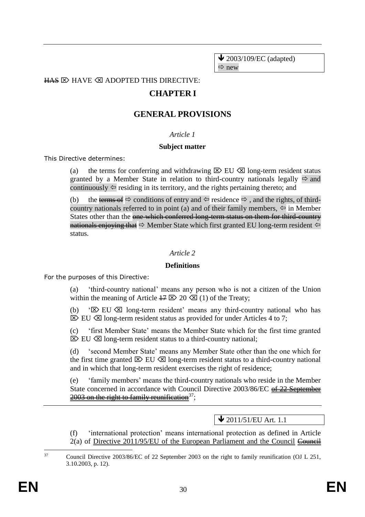$\bigvee$  2003/109/EC (adapted)  $\Rightarrow$  new

 $HAS \nleftrightarrow$  HAVE  $\otimes$  ADOPTED THIS DIRECTIVE:

## **CHAPTER I**

## **GENERAL PROVISIONS**

#### *Article 1*

#### **Subject matter**

This Directive determines:

(a) the terms for conferring and withdrawing  $\boxtimes$  EU  $\boxtimes$  long-term resident status granted by a Member State in relation to third-country nationals legally  $\Rightarrow$  and continuously  $\Leftrightarrow$  residing in its territory, and the rights pertaining thereto; and

(b) the terms of  $\Rightarrow$  conditions of entry and  $\Leftarrow$  residence  $\Rightarrow$ , and the rights, of thirdcountry nationals referred to in point (a) and of their family members,  $\Leftrightarrow$  in Member States other than the one which conferred long-term status on them for third-country nationals enjoving that  $\Rightarrow$  Member State which first granted EU long-term resident  $\Leftrightarrow$ status.

#### *Article 2*

#### **Definitions**

For the purposes of this Directive:

(a) 'third-country national' means any person who is not a citizen of the Union within the meaning of Article  $\sharp \sharp \boxtimes 20 \otimes (1)$  of the Treaty;

(b) ' $\boxtimes$  EU  $\boxtimes$  long-term resident' means any third-country national who has  $\boxtimes$  EU  $\boxtimes$  long-term resident status as provided for under Articles 4 to 7;

(c) 'first Member State' means the Member State which for the first time granted  $\boxtimes$  EU  $\boxtimes$  long-term resident status to a third-country national;

'second Member State' means any Member State other than the one which for the first time granted  $\boxtimes$  EU  $\boxtimes$  long-term resident status to a third-country national and in which that long-term resident exercises the right of residence;

(e) 'family members' means the third-country nationals who reside in the Member State concerned in accordance with Council Directive 2003/86/EC of 22 September  $2003$  on the right to family reunification<sup>37</sup>:

## $\bigvee$  2011/51/EU Art. 1.1

(f) 'international protection' means international protection as defined in Article  $2(a)$  of Directive  $2011/95/EU$  of the European Parliament and the Council Council

 $37$ 

<sup>37</sup> Council Directive 2003/86/EC of 22 September 2003 on the right to family reunification (OJ L 251, 3.10.2003, p. 12).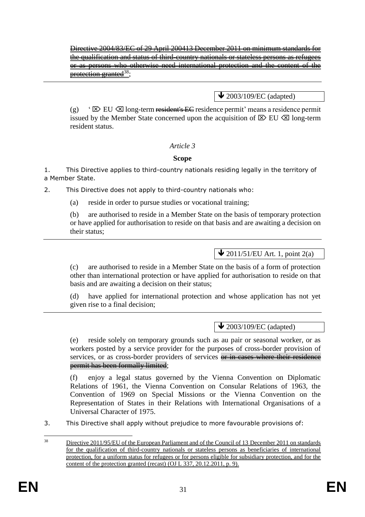Directive 2004/83/EC of 29 April 200413 December 2011 on minimum standards for the qualification and status of third-country nationals or stateless persons as refugees or as persons who otherwise need international protection and the content of the protection granted<sup>38</sup>:

 $\blacktriangleright$  2003/109/EC (adapted)

(g) '  $\boxtimes$  EU  $\boxtimes$  long-term resident's EC residence permit' means a residence permit issued by the Member State concerned upon the acquisition of  $\boxtimes$  EU  $\boxtimes$  long-term resident status.

### *Article 3*

### **Scope**

1. This Directive applies to third-country nationals residing legally in the territory of a Member State.

2. This Directive does not apply to third-country nationals who:

(a) reside in order to pursue studies or vocational training;

(b) are authorised to reside in a Member State on the basis of temporary protection or have applied for authorisation to reside on that basis and are awaiting a decision on their status;

# $\bigvee$  2011/51/EU Art. 1, point 2(a)

(c) are authorised to reside in a Member State on the basis of a form of protection other than international protection or have applied for authorisation to reside on that basis and are awaiting a decision on their status;

(d) have applied for international protection and whose application has not yet given rise to a final decision;

## $\triangle$  2003/109/EC (adapted)

(e) reside solely on temporary grounds such as au pair or seasonal worker, or as workers posted by a service provider for the purposes of cross-border provision of services, or as cross-border providers of services or in cases where their residence permit has been formally limited;

(f) enjoy a legal status governed by the Vienna Convention on Diplomatic Relations of 1961, the Vienna Convention on Consular Relations of 1963, the Convention of 1969 on Special Missions or the Vienna Convention on the Representation of States in their Relations with International Organisations of a Universal Character of 1975.

3. This Directive shall apply without prejudice to more favourable provisions of:

<sup>38</sup> <sup>38</sup> Directive 2011/95/EU of the European Parliament and of the Council of 13 December 2011 on standards for the qualification of third-country nationals or stateless persons as beneficiaries of international protection, for a uniform status for refugees or for persons eligible for subsidiary protection, and for the content of the protection granted (recast) (OJ L 337, 20.12.2011, p. 9).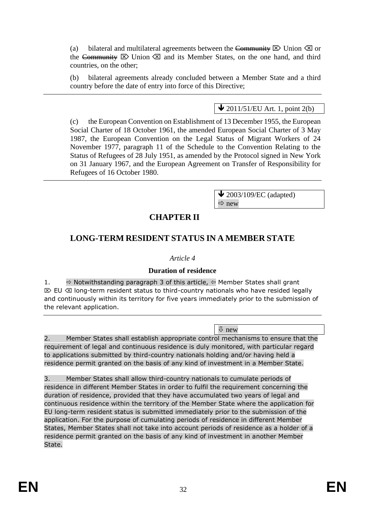(a) bilateral and multilateral agreements between the Community  $\boxtimes$  Union  $\boxtimes$  or the Community  $\boxtimes$  Union  $\boxtimes$  and its Member States, on the one hand, and third countries, on the other;

(b) bilateral agreements already concluded between a Member State and a third country before the date of entry into force of this Directive;

 $\bigvee$  2011/51/EU Art. 1, point 2(b)

(c) the European Convention on Establishment of 13 December 1955, the European Social Charter of 18 October 1961, the amended European Social Charter of 3 May 1987, the European Convention on the Legal Status of Migrant Workers of 24 November 1977, paragraph 11 of the Schedule to the Convention Relating to the Status of Refugees of 28 July 1951, as amended by the Protocol signed in New York on 31 January 1967, and the European Agreement on Transfer of Responsibility for Refugees of 16 October 1980.

> $\blacktriangleright$  2003/109/EC (adapted)  $\Rightarrow$  new

# **CHAPTER II**

# **LONG-TERM RESIDENT STATUS IN A MEMBER STATE**

## *Article 4*

## **Duration of residence**

1.  $\Rightarrow$  Notwithstanding paragraph 3 of this article,  $\Leftrightarrow$  Member States shall grant  $\mathbb{E}\times\mathbb{E}$  long-term resident status to third-country nationals who have resided legally and continuously within its territory for five years immediately prior to the submission of the relevant application.

 $\sqrt{2}$  new

2. Member States shall establish appropriate control mechanisms to ensure that the requirement of legal and continuous residence is duly monitored, with particular regard to applications submitted by third-country nationals holding and/or having held a residence permit granted on the basis of any kind of investment in a Member State.

3. Member States shall allow third-country nationals to cumulate periods of residence in different Member States in order to fulfil the requirement concerning the duration of residence, provided that they have accumulated two years of legal and continuous residence within the territory of the Member State where the application for EU long-term resident status is submitted immediately prior to the submission of the application. For the purpose of cumulating periods of residence in different Member States, Member States shall not take into account periods of residence as a holder of a residence permit granted on the basis of any kind of investment in another Member State.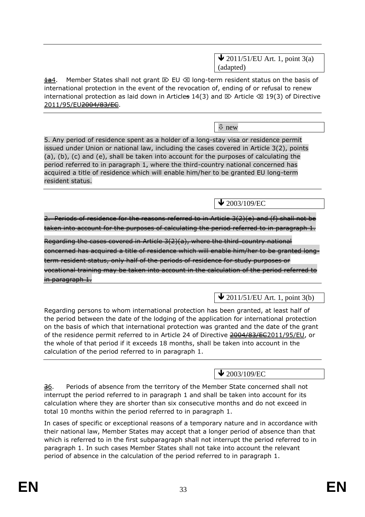$\triangle$  2011/51/EU Art. 1, point 3(a) (adapted)

 $\frac{1}{2}$ . Member States shall not grant  $\mathbb{E}$  EU  $\otimes$  long-term resident status on the basis of international protection in the event of the revocation of, ending of or refusal to renew international protection as laid down in Articles 14(3) and  $\boxtimes$  Article  $\boxtimes$  19(3) of Directive 2011/95/EU<del>2004/83/EC</del>.

new

5. Any period of residence spent as a holder of a long-stay visa or residence permit issued under Union or national law, including the cases covered in Article 3(2), points (a), (b), (c) and (e), shall be taken into account for the purposes of calculating the period referred to in paragraph 1, where the third-country national concerned has acquired a title of residence which will enable him/her to be granted EU long-term resident status.

 $\blacktriangleright$  2003/109/EC

2. Periods of residence for the reasons referred to in Article 3(2)(e) and (f) shall not be taken into account for the purposes of calculating the period referred to in paragraph 1.

Regarding the cases covered in Article 3(2)(a), where the third-country national concerned has acquired a title of residence which will enable him/her to be granted longterm resident status, only half of the periods of residence for study purposes or vocational training may be taken into account in the calculation of the period referred to in paragraph 1.

 $\sqrt{\frac{1}{2011}}$ /51/EU Art. 1, point 3(b)

Regarding persons to whom international protection has been granted, at least half of the period between the date of the lodging of the application for international protection on the basis of which that international protection was granted and the date of the grant of the residence permit referred to in Article 24 of Directive 2004/83/EC2011/95/EU, or the whole of that period if it exceeds 18 months, shall be taken into account in the calculation of the period referred to in paragraph 1.

 $\blacktriangleright$  2003/109/EC

36. Periods of absence from the territory of the Member State concerned shall not interrupt the period referred to in paragraph 1 and shall be taken into account for its calculation where they are shorter than six consecutive months and do not exceed in total 10 months within the period referred to in paragraph 1.

In cases of specific or exceptional reasons of a temporary nature and in accordance with their national law, Member States may accept that a longer period of absence than that which is referred to in the first subparagraph shall not interrupt the period referred to in paragraph 1. In such cases Member States shall not take into account the relevant period of absence in the calculation of the period referred to in paragraph 1.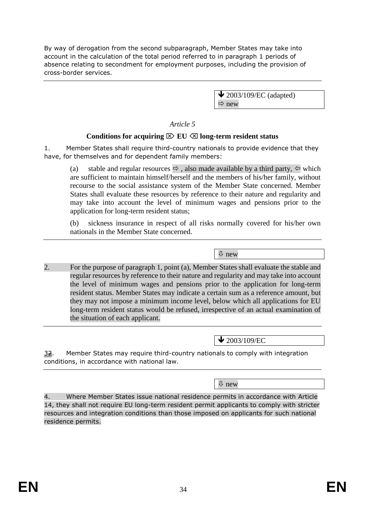By way of derogation from the second subparagraph, Member States may take into account in the calculation of the total period referred to in paragraph 1 periods of absence relating to secondment for employment purposes, including the provision of cross-border services.

> $\blacktriangleright$  2003/109/EC (adapted)  $\Rightarrow$  new

*Article 5*

## Conditions for acquiring  $\boxtimes$  EU  $\boxtimes$  long-term resident status

1. Member States shall require third-country nationals to provide evidence that they have, for themselves and for dependent family members:

(a) stable and regular resources  $\Leftrightarrow$ , also made available by a third party,  $\Leftrightarrow$  which are sufficient to maintain himself/herself and the members of his/her family, without recourse to the social assistance system of the Member State concerned. Member States shall evaluate these resources by reference to their nature and regularity and may take into account the level of minimum wages and pensions prior to the application for long-term resident status;

(b) sickness insurance in respect of all risks normally covered for his/her own nationals in the Member State concerned.

new

2. For the purpose of paragraph 1, point (a), Member States shall evaluate the stable and regular resources by reference to their nature and regularity and may take into account the level of minimum wages and pensions prior to the application for long-term resident status. Member States may indicate a certain sum as a reference amount, but they may not impose a minimum income level, below which all applications for EU long-term resident status would be refused, irrespective of an actual examination of the situation of each applicant.

 $\bigvee$  2003/109/EC

32. Member States may require third-country nationals to comply with integration conditions, in accordance with national law.

new

4. Where Member States issue national residence permits in accordance with Article 14, they shall not require EU long-term resident permit applicants to comply with stricter resources and integration conditions than those imposed on applicants for such national residence permits.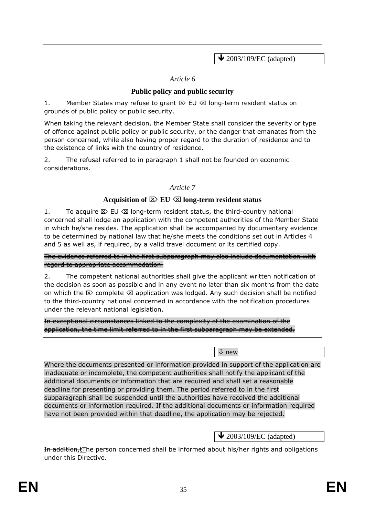$\bigvee$  2003/109/EC (adapted)

### *Article 6*

## **Public policy and public security**

1. Member States may refuse to grant  $\mathbb{Z}$  EU  $\otimes$  long-term resident status on grounds of public policy or public security.

When taking the relevant decision, the Member State shall consider the severity or type of offence against public policy or public security, or the danger that emanates from the person concerned, while also having proper regard to the duration of residence and to the existence of links with the country of residence.

2. The refusal referred to in paragraph 1 shall not be founded on economic considerations.

### *Article 7*

#### Acquisition of  $\boxtimes$  **EU**  $\boxtimes$  long-term resident status

1. To acquire  $\boxtimes$  EU  $\otimes$  long-term resident status, the third-country national concerned shall lodge an application with the competent authorities of the Member State in which he/she resides. The application shall be accompanied by documentary evidence to be determined by national law that he/she meets the conditions set out in Articles 4 and 5 as well as, if required, by a valid travel document or its certified copy.

The evidence referred to in the first subparagraph may also include documentation with regard to appropriate accommodation.

2. The competent national authorities shall give the applicant written notification of the decision as soon as possible and in any event no later than six months from the date on which the  $\boxtimes$  complete  $\boxtimes$  application was lodged. Any such decision shall be notified to the third-country national concerned in accordance with the notification procedures under the relevant national legislation.

In exceptional circumstances linked to the complexity of the examination of the application, the time limit referred to in the first subparagraph may be extended.

new

Where the documents presented or information provided in support of the application are inadequate or incomplete, the competent authorities shall notify the applicant of the additional documents or information that are required and shall set a reasonable deadline for presenting or providing them. The period referred to in the first subparagraph shall be suspended until the authorities have received the additional documents or information required. If the additional documents or information required have not been provided within that deadline, the application may be rejected.

## $\bigvee$  2003/109/EC (adapted)

In addition,tThe person concerned shall be informed about his/her rights and obligations under this Directive.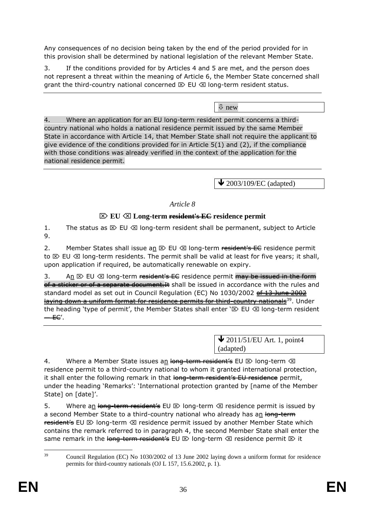Any consequences of no decision being taken by the end of the period provided for in this provision shall be determined by national legislation of the relevant Member State.

3. If the conditions provided for by Articles 4 and 5 are met, and the person does not represent a threat within the meaning of Article 6, the Member State concerned shall grant the third-country national concerned  $\boxtimes$  EU  $\boxtimes$  long-term resident status.

new

4. Where an application for an EU long-term resident permit concerns a thirdcountry national who holds a national residence permit issued by the same Member State in accordance with Article 14, that Member State shall not require the applicant to give evidence of the conditions provided for in Article 5(1) and (2), if the compliance with those conditions was already verified in the context of the application for the national residence permit.

 $\blacktriangleright$  2003/109/EC (adapted)

### *Article 8*

### **EU Long-term resident's EC residence permit**

1. The status as  $\boxtimes$  EU  $\otimes$  long-term resident shall be permanent, subject to Article 9.

2. Member States shall issue an  $\boxtimes$  EU  $\boxtimes$  long-term resident's EC residence permit to  $\boxtimes$  EU  $\otimes$  long-term residents. The permit shall be valid at least for five years; it shall, upon application if required, be automatically renewable on expiry.

3. An  $\boxtimes$  EU  $\boxtimes$  long-term resident's EE residence permit may be issued in the form of a sticker or of a separate document. It shall be issued in accordance with the rules and standard model as set out in Council Regulation (EC) No 1030/2002 of 13 June 2002 laying down a uniform format for residence permits for third-country nationals<sup>39</sup>. Under the heading 'type of permit', the Member States shall enter ' $\boxtimes$  EU  $\boxtimes$  long-term resident — EC'.

> $\bigvee$  2011/51/EU Art. 1, point4 (adapted)

4. Where a Member State issues an long-term resident's EU  $\otimes$  long-term  $\otimes$ residence permit to a third-country national to whom it granted international protection, it shall enter the following remark in that long-term resident's EU residence permit, under the heading 'Remarks': 'International protection granted by [name of the Member State] on [date]'.

5. Where an long-term resident's EU  $\boxtimes$  long-term  $\boxtimes$  residence permit is issued by a second Member State to a third-country national who already has an long-term resident's EU  $\otimes$  long-term  $\otimes$  residence permit issued by another Member State which contains the remark referred to in paragraph 4, the second Member State shall enter the same remark in the long-term resident's EU  $\otimes$  long-term  $\otimes$  residence permit  $\otimes$  it

 $39$ <sup>39</sup> Council Regulation (EC) No 1030/2002 of 13 June 2002 laying down a uniform format for residence permits for third-country nationals (OJ L 157, 15.6.2002, p. 1).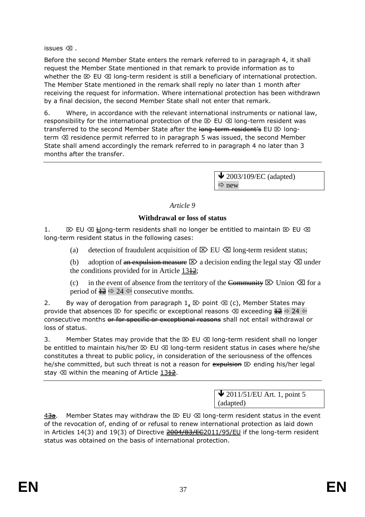issues  $\oslash$ .

Before the second Member State enters the remark referred to in paragraph 4, it shall request the Member State mentioned in that remark to provide information as to whether the  $\boxtimes$  EU  $\otimes$  long-term resident is still a beneficiary of international protection. The Member State mentioned in the remark shall reply no later than 1 month after receiving the request for information. Where international protection has been withdrawn by a final decision, the second Member State shall not enter that remark.

6. Where, in accordance with the relevant international instruments or national law, responsibility for the international protection of the  $\boxtimes$  EU  $\otimes$  long-term resident was transferred to the second Member State after the long-term resident's EU  $\otimes$  longterm  $\otimes$  residence permit referred to in paragraph 5 was issued, the second Member State shall amend accordingly the remark referred to in paragraph 4 no later than 3 months after the transfer.

> $\blacktriangleright$  2003/109/EC (adapted)  $\Rightarrow$  new

## *Article 9*

## **Withdrawal or loss of status**

1.  $\boxtimes$  EU  $\boxtimes$  Heng-term residents shall no longer be entitled to maintain  $\boxtimes$  EU  $\boxtimes$ long-term resident status in the following cases:

(a) detection of fraudulent acquisition of  $\boxtimes$  EU  $\boxtimes$  long-term resident status;

(b) adoption of an expulsion measure  $\boxtimes$  a decision ending the legal stay  $\boxtimes$  under the conditions provided for in Article  $13\frac{12}{2}$ ;

(c) in the event of absence from the territory of the Community  $\boxtimes$  Union  $\boxtimes$  for a period of  $\frac{12}{2} \implies 24 \Leftrightarrow$  consecutive months.

2. By way of derogation from paragraph  $1, \boxtimes$  point  $\boxtimes$  (c), Member States may provide that absences  $\boxtimes$  for specific or exceptional reasons  $\boxtimes$  exceeding  $\frac{12}{12} \Rightarrow 24 \Leftrightarrow$ consecutive months or for specific or exceptional reasons shall not entail withdrawal or loss of status.

3. Member States may provide that the  $\boxtimes$  EU  $\boxtimes$  long-term resident shall no longer be entitled to maintain his/her  $\boxtimes$  EU  $\boxtimes$  long-term resident status in cases where he/she constitutes a threat to public policy, in consideration of the seriousness of the offences he/she committed, but such threat is not a reason for  $\epsilon$  expulsion  $\mathbb{E}$  ending his/her legal stay  $\otimes$  within the meaning of Article 13<sup>12</sup>.

> $\bigvee$  2011/51/EU Art. 1, point 5 (adapted)

 $\frac{43a}{100}$ . Member States may withdraw the  $\infty$  EU  $\infty$  long-term resident status in the event of the revocation of, ending of or refusal to renew international protection as laid down in Articles 14(3) and 19(3) of Directive  $\frac{2004}{83}\text{EQ}2011/95/\text{EU}$  if the long-term resident status was obtained on the basis of international protection.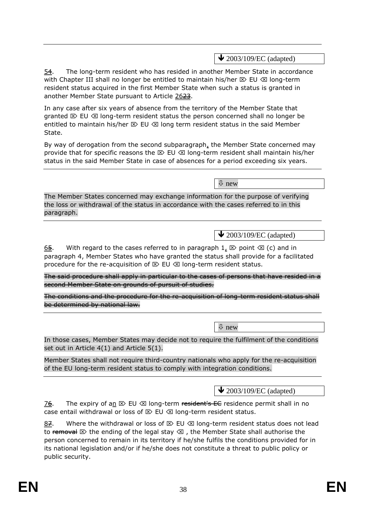$\bigvee$  2003/109/EC (adapted)

54. The long-term resident who has resided in another Member State in accordance with Chapter III shall no longer be entitled to maintain his/her  $\mathbb D$  EU  $\otimes$  long-term resident status acquired in the first Member State when such a status is granted in another Member State pursuant to Article 2623.

In any case after six years of absence from the territory of the Member State that granted  $\mathbb{Z}$  EU  $\otimes$  long-term resident status the person concerned shall no longer be entitled to maintain his/her  $\boxtimes$  EU  $\boxtimes$  long term resident status in the said Member State.

By way of derogation from the second subparagraph, the Member State concerned may provide that for specific reasons the  $\boxtimes$  EU  $\otimes$  long-term resident shall maintain his/her status in the said Member State in case of absences for a period exceeding six years.

new

The Member States concerned may exchange information for the purpose of verifying the loss or withdrawal of the status in accordance with the cases referred to in this paragraph.

 $\bigvee$  2003/109/EC (adapted)

65. With regard to the cases referred to in paragraph  $1, \boxtimes$  point  $\otimes$  (c) and in paragraph 4, Member States who have granted the status shall provide for a facilitated procedure for the re-acquisition of  $\boxtimes$  EU  $\otimes$  long-term resident status.

The said procedure shall apply in particular to the cases of persons that have resided in a second Member State on grounds of pursuit of studies.

The conditions and the procedure for the re-acquisition of long-term resident status shall be determined by national law.

new

In those cases, Member States may decide not to require the fulfilment of the conditions set out in Article 4(1) and Article 5(1).

Member States shall not require third-country nationals who apply for the re-acquisition of the EU long-term resident status to comply with integration conditions.

 $\triangle$  2003/109/EC (adapted)

 $\frac{76}{5}$ . The expiry of an  $\infty$  EU  $\infty$  long-term resident's EC residence permit shall in no case entail withdrawal or loss of  $\boxtimes$  EU  $\otimes$  long-term resident status.

87. Where the withdrawal or loss of  $\mathbb{Z}$  EU  $\otimes$  long-term resident status does not lead to removal  $\otimes$  the ending of the legal stay  $\otimes$ , the Member State shall authorise the person concerned to remain in its territory if he/she fulfils the conditions provided for in its national legislation and/or if he/she does not constitute a threat to public policy or public security.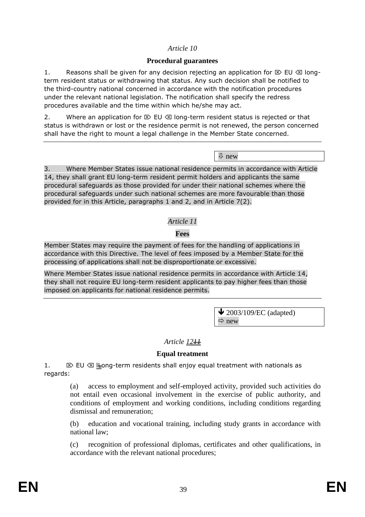## *Article 10*

### **Procedural guarantees**

1. Reasons shall be given for any decision rejecting an application for  $\mathbb{E}\triangleright$  EU  $\otimes$  longterm resident status or withdrawing that status. Any such decision shall be notified to the third-country national concerned in accordance with the notification procedures under the relevant national legislation. The notification shall specify the redress procedures available and the time within which he/she may act.

2. Where an application for  $\boxtimes$  EU  $\otimes$  long-term resident status is rejected or that status is withdrawn or lost or the residence permit is not renewed, the person concerned shall have the right to mount a legal challenge in the Member State concerned.

new

3. Where Member States issue national residence permits in accordance with Article 14, they shall grant EU long-term resident permit holders and applicants the same procedural safeguards as those provided for under their national schemes where the procedural safeguards under such national schemes are more favourable than those provided for in this Article, paragraphs 1 and 2, and in Article 7(2).

## *Article 11*

## **Fees**

Member States may require the payment of fees for the handling of applications in accordance with this Directive. The level of fees imposed by a Member State for the processing of applications shall not be disproportionate or excessive.

Where Member States issue national residence permits in accordance with Article 14, they shall not require EU long-term resident applicants to pay higher fees than those imposed on applicants for national residence permits.

> $\bigvee$  2003/109/EC (adapted)  $\Rightarrow$  new

## Article 12<sup>11</sup>

## **Equal treatment**

1.  $\boxtimes$  EU  $\otimes$  lleong-term residents shall enjoy equal treatment with nationals as regards:

(a) access to employment and self-employed activity, provided such activities do not entail even occasional involvement in the exercise of public authority, and conditions of employment and working conditions, including conditions regarding dismissal and remuneration;

(b) education and vocational training, including study grants in accordance with national law;

(c) recognition of professional diplomas, certificates and other qualifications, in accordance with the relevant national procedures;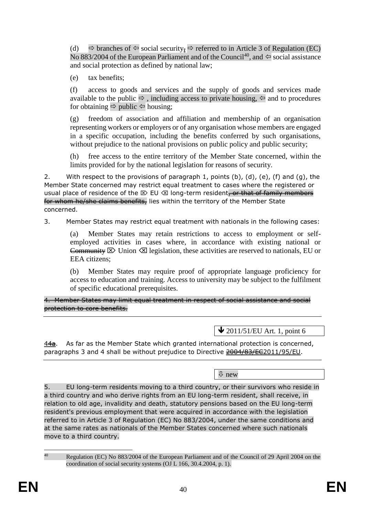(d)  $\Rightarrow$  branches of  $\Leftarrow$  social security<sub> $\frac{1}{2}$ </sub>  $\Rightarrow$  referred to in Article 3 of Regulation (EC) No 883/2004 of the European Parliament and of the Council<sup>40</sup>, and  $\Leftarrow$  social assistance and social protection as defined by national law;

(e) tax benefits;

(f) access to goods and services and the supply of goods and services made available to the public  $\Rightarrow$ , including access to private housing,  $\Leftarrow$  and to procedures for obtaining  $\Rightarrow$  public  $\Leftarrow$  housing;

(g) freedom of association and affiliation and membership of an organisation representing workers or employers or of any organisation whose members are engaged in a specific occupation, including the benefits conferred by such organisations, without prejudice to the national provisions on public policy and public security;

(h) free access to the entire territory of the Member State concerned, within the limits provided for by the national legislation for reasons of security.

2. With respect to the provisions of paragraph 1, points  $(b)$ ,  $(d)$ ,  $(e)$ ,  $(f)$  and  $(g)$ , the Member State concerned may restrict equal treatment to cases where the registered or usual place of residence of the  $\otimes$  EU  $\otimes$  long-term resident, or that of family members for whom he/she claims benefits, lies within the territory of the Member State concerned.

3. Member States may restrict equal treatment with nationals in the following cases:

(a) Member States may retain restrictions to access to employment or selfemployed activities in cases where, in accordance with existing national or Community  $\boxtimes$  Union  $\boxtimes$  legislation, these activities are reserved to nationals, EU or EEA citizens;

(b) Member States may require proof of appropriate language proficiency for access to education and training. Access to university may be subject to the fulfilment of specific educational prerequisites.

4. Member States may limit equal treatment in respect of social assistance and social protection to core benefits.

 $\bigvee$  2011/51/EU Art. 1, point 6

 $44a$ . As far as the Member State which granted international protection is concerned, paragraphs 3 and 4 shall be without prejudice to Directive 2004/83/EC2011/95/EU.

 $\sqrt{2}$  new

5. EU long-term residents moving to a third country, or their survivors who reside in a third country and who derive rights from an EU long-term resident, shall receive, in relation to old age, invalidity and death, statutory pensions based on the EU long-term resident's previous employment that were acquired in accordance with the legislation referred to in Article 3 of Regulation (EC) No 883/2004, under the same conditions and at the same rates as nationals of the Member States concerned where such nationals move to a third country.

<sup>40</sup> <sup>40</sup> Regulation (EC) No 883/2004 of the European Parliament and of the Council of 29 April 2004 on the coordination of social security systems (OJ L 166, 30.4.2004, p. 1).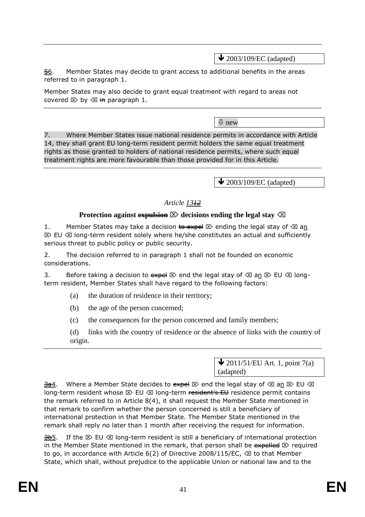$\triangle$  2003/109/EC (adapted)

56. Member States may decide to grant access to additional benefits in the areas referred to in paragraph 1.

Member States may also decide to grant equal treatment with regard to areas not covered  $\boxtimes$  by  $\otimes$  in paragraph 1.

new

7. Where Member States issue national residence permits in accordance with Article 14, they shall grant EU long-term resident permit holders the same equal treatment rights as those granted to holders of national residence permits, where such equal treatment rights are more favourable than those provided for in this Article.

 $\bigvee$  2003/109/EC (adapted)

## *Article 1312*

## **Protection against expulsion**  $\mathbb{Z}$  decisions ending the legal stay  $\mathbb{Z}$

1. Member States may take a decision  $\overline{t}$  be negatively the legal stay of  $\otimes$  an  $\mathbb{E}\times$  EU  $\otimes$  long-term resident solely where he/she constitutes an actual and sufficiently serious threat to public policy or public security.

2. The decision referred to in paragraph 1 shall not be founded on economic considerations.

3. Before taking a decision to expel  $\boxtimes$  end the legal stay of  $\boxtimes$  an  $\boxtimes$  EU  $\boxtimes$  longterm resident, Member States shall have regard to the following factors:

- (a) the duration of residence in their territory;
- (b) the age of the person concerned;
- (c) the consequences for the person concerned and family members;
- (d) links with the country of residence or the absence of links with the country of origin.

 $\bigvee$  2011/51/EU Art. 1, point 7(a) (adapted)

 $\frac{3a}{1}$ . Where a Member State decides to  $\frac{3a}{1} \boxtimes$  end the legal stay of  $\boxtimes$  an  $\boxtimes$  EU  $\boxtimes$ long-term resident whose  $\boxtimes$  EU  $\boxtimes$  long-term resident's EU residence permit contains the remark referred to in Article 8(4), it shall request the Member State mentioned in that remark to confirm whether the person concerned is still a beneficiary of international protection in that Member State. The Member State mentioned in the remark shall reply no later than 1 month after receiving the request for information.

 $\frac{3b}{2}$ . If the  $\otimes$  EU  $\otimes$  long-term resident is still a beneficiary of international protection in the Member State mentioned in the remark, that person shall be  $\frac{1}{\sqrt{2}}$  required to go, in accordance with Article  $6(2)$  of Directive 2008/115/EC,  $\otimes$  to that Member State, which shall, without prejudice to the applicable Union or national law and to the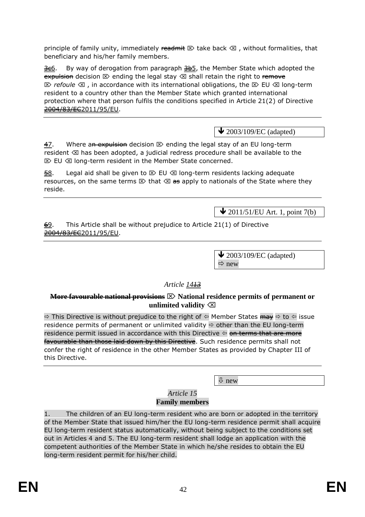principle of family unity, immediately readmit  $\mathbb{Z}$  take back  $\mathbb{Z}$ , without formalities, that beneficiary and his/her family members.

 $\frac{366}{10}$ . By way of derogation from paragraph  $\frac{36}{10}$ , the Member State which adopted the expulsion decision  $\otimes$  ending the legal stay  $\otimes$  shall retain the right to remove  $\boxtimes$  *refoule*  $\boxtimes$ , in accordance with its international obligations, the  $\boxtimes$  EU  $\boxtimes$  long-term resident to a country other than the Member State which granted international protection where that person fulfils the conditions specified in Article 21(2) of Directive 2004/83/EC2011/95/EU.

 $\triangle$  2003/109/EC (adapted)

 $\frac{47}{10}$ . Where an expulsion decision  $\infty$  ending the legal stay of an EU long-term resident  $\otimes$  has been adopted, a judicial redress procedure shall be available to the  $\mathbb{E}\triangleright$  EU  $\otimes$  long-term resident in the Member State concerned.

 $\overline{58}$ . Legal aid shall be given to  $\overline{2}$  EU  $\overline{\otimes}$  long-term residents lacking adequate resources, on the same terms  $\boxtimes$  that  $\boxtimes$  as apply to nationals of the State where they reside.

 $\bigvee$  2011/51/EU Art. 1, point 7(b)

 $\frac{69}{6}$ . This Article shall be without prejudice to Article 21(1) of Directive 2004/83/EC2011/95/EU.

> $\blacktriangleright$  2003/109/EC (adapted)  $\Rightarrow$  new

## *Article 1413*

#### **More favourable national provisions National residence permits of permanent or unlimited validity**

 $\Rightarrow$  This Directive is without prejudice to the right of  $\Leftrightarrow$  Member States  $\overrightarrow{may} \Leftrightarrow$  to  $\Leftrightarrow$  issue residence permits of permanent or unlimited validity  $\Rightarrow$  other than the EU long-term residence permit issued in accordance with this Directive  $\Leftrightarrow$  on terms that are more favourable than those laid down by this Directive. Such residence permits shall not confer the right of residence in the other Member States as provided by Chapter III of this Directive.

new

#### *Article 15* **Family members**

1. The children of an EU long-term resident who are born or adopted in the territory of the Member State that issued him/her the EU long-term residence permit shall acquire EU long-term resident status automatically, without being subject to the conditions set out in Articles 4 and 5. The EU long-term resident shall lodge an application with the competent authorities of the Member State in which he/she resides to obtain the EU long-term resident permit for his/her child.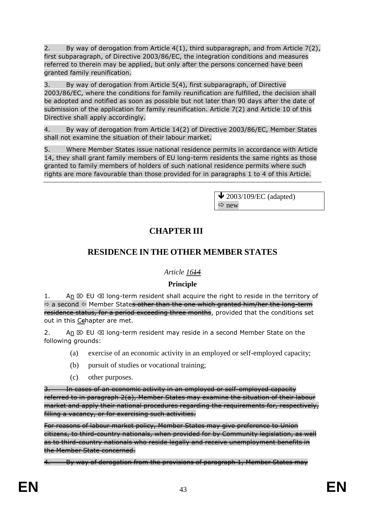2. By way of derogation from Article  $4(1)$ , third subparagraph, and from Article  $7(2)$ , first subparagraph, of Directive 2003/86/EC, the integration conditions and measures referred to therein may be applied, but only after the persons concerned have been granted family reunification.

3. By way of derogation from Article 5(4), first subparagraph, of Directive 2003/86/EC, where the conditions for family reunification are fulfilled, the decision shall be adopted and notified as soon as possible but not later than 90 days after the date of submission of the application for family reunification. Article 7(2) and Article 10 of this Directive shall apply accordingly.

4. By way of derogation from Article 14(2) of Directive 2003/86/EC, Member States shall not examine the situation of their labour market.

5. Where Member States issue national residence permits in accordance with Article 14, they shall grant family members of EU long-term residents the same rights as those granted to family members of holders of such national residence permits where such rights are more favourable than those provided for in paragraphs 1 to 4 of this Article.

> $\blacktriangleright$  2003/109/EC (adapted)  $\Rightarrow$  new

# **CHAPTER III**

# **RESIDENCE IN THE OTHER MEMBER STATES**

## *Article 1614*

## **Principle**

1. An  $\boxtimes$  EU  $\boxtimes$  long-term resident shall acquire the right to reside in the territory of  $\Rightarrow$  a second  $\Leftrightarrow$  Member State<del>s other than the one which granted him/her the long-term</del> residence status, for a period exceeding three months, provided that the conditions set out in this Cehapter are met.

2. An  $\otimes$  EU  $\otimes$  long-term resident may reside in a second Member State on the following grounds:

- (a) exercise of an economic activity in an employed or self-employed capacity;
- (b) pursuit of studies or vocational training;
- (c) other purposes.

In cases of an economic activity in an employed or self-employed capacity referred to in paragraph 2(a), Member States may examine the situation of their labour market and apply their national procedures regarding the requirements for, respectively, filling a vacancy, or for exercising such activities.

For reasons of labour market policy, Member States may give preference to Union citizens, to third-country nationals, when provided for by Community legislation, as well as to third-country nationals who reside legally and receive unemployment benefits in the Member State concerned.

By way of derogation from the provisions of paragraph 1, Member States may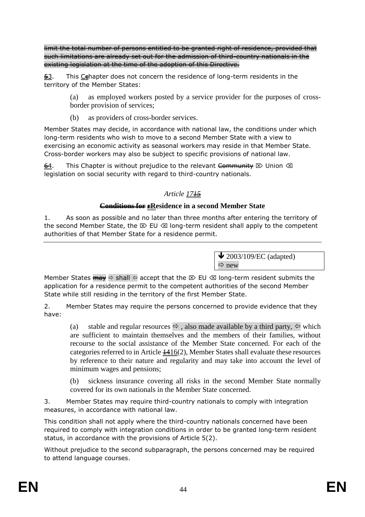limit the total number of persons entitled to be granted right of residence, provided that such limitations are already set out for the admission of third-country nationals in the existing legislation at the time of the adoption of this Directive.

 $\frac{53}{12}$ . This Cehapter does not concern the residence of long-term residents in the territory of the Member States:

> (a) as employed workers posted by a service provider for the purposes of crossborder provision of services;

(b) as providers of cross-border services.

Member States may decide, in accordance with national law, the conditions under which long-term residents who wish to move to a second Member State with a view to exercising an economic activity as seasonal workers may reside in that Member State. Cross-border workers may also be subject to specific provisions of national law.

64. This Chapter is without prejudice to the relevant Community  $\otimes$  Union  $\otimes$ legislation on social security with regard to third-country nationals.

## *Article 1715*

## **Conditions for rResidence in a second Member State**

1. As soon as possible and no later than three months after entering the territory of the second Member State, the  $\boxtimes$  EU  $\otimes$  long-term resident shall apply to the competent authorities of that Member State for a residence permit.

> $\blacktriangleright$  2003/109/EC (adapted)  $\Rightarrow$  new

Member States  $\overline{m}$   $\Rightarrow$  shall  $\Leftrightarrow$  accept that the  $\triangleright$  EU  $\triangleleft$  long-term resident submits the application for a residence permit to the competent authorities of the second Member State while still residing in the territory of the first Member State.

2. Member States may require the persons concerned to provide evidence that they have:

(a) stable and regular resources  $\Rightarrow$ , also made available by a third party,  $\Leftarrow$  which are sufficient to maintain themselves and the members of their families, without recourse to the social assistance of the Member State concerned. For each of the categories referred to in Article  $\frac{1416(2)}{2}$ , Member States shall evaluate these resources by reference to their nature and regularity and may take into account the level of minimum wages and pensions;

(b) sickness insurance covering all risks in the second Member State normally covered for its own nationals in the Member State concerned.

3. Member States may require third-country nationals to comply with integration measures, in accordance with national law.

This condition shall not apply where the third-country nationals concerned have been required to comply with integration conditions in order to be granted long-term resident status, in accordance with the provisions of Article 5(2).

Without prejudice to the second subparagraph, the persons concerned may be required to attend language courses.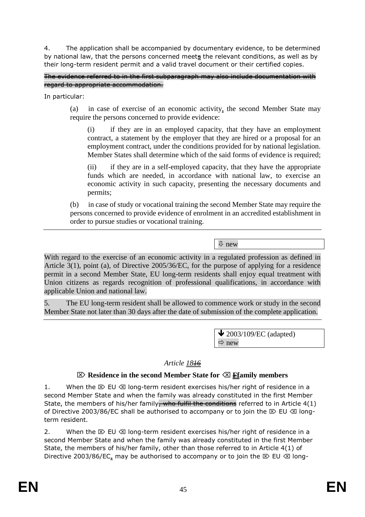4. The application shall be accompanied by documentary evidence, to be determined by national law, that the persons concerned meets the relevant conditions, as well as by their long-term resident permit and a valid travel document or their certified copies.

The evidence referred to in the first subparagraph may also include documentation with regard to appropriate accommodation.

In particular:

(a) in case of exercise of an economic activity, the second Member State may require the persons concerned to provide evidence:

(i) if they are in an employed capacity, that they have an employment contract, a statement by the employer that they are hired or a proposal for an employment contract, under the conditions provided for by national legislation. Member States shall determine which of the said forms of evidence is required;

(ii) if they are in a self-employed capacity, that they have the appropriate funds which are needed, in accordance with national law, to exercise an economic activity in such capacity, presenting the necessary documents and permits;

(b) in case of study or vocational training the second Member State may require the persons concerned to provide evidence of enrolment in an accredited establishment in order to pursue studies or vocational training.

 $\overline{\psi}$  new

With regard to the exercise of an economic activity in a regulated profession as defined in Article 3(1), point (a), of Directive 2005/36/EC, for the purpose of applying for a residence permit in a second Member State, EU long-term residents shall enjoy equal treatment with Union citizens as regards recognition of professional qualifications, in accordance with applicable Union and national law.

5. The EU long-term resident shall be allowed to commence work or study in the second Member State not later than 30 days after the date of submission of the complete application.

> $\blacktriangleright$  2003/109/EC (adapted)  $\Rightarrow$  new

## *Article 1816*

#### **Residence in the second Member State for Ffamily members**

1. When the  $\boxtimes$  EU  $\otimes$  long-term resident exercises his/her right of residence in a second Member State and when the family was already constituted in the first Member State, the members of his/her family, who fulfil the conditions referred to in Article  $4(1)$ of Directive 2003/86/EC shall be authorised to accompany or to join the  $\boxtimes$  EU  $\otimes$  longterm resident.

2. When the  $\boxtimes$  EU  $\otimes$  long-term resident exercises his/her right of residence in a second Member State and when the family was already constituted in the first Member State, the members of his/her family, other than those referred to in Article 4(1) of Directive 2003/86/EC, may be authorised to accompany or to join the  $\otimes$  EU  $\otimes$  long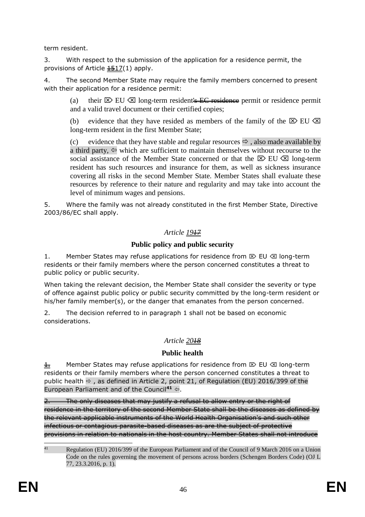term resident.

3. With respect to the submission of the application for a residence permit, the provisions of Article  $\frac{1517}{1}$  apply.

4. The second Member State may require the family members concerned to present with their application for a residence permit:

(a) their  $\boxtimes$  EU  $\boxtimes$  long-term resident's EC residence permit or residence permit and a valid travel document or their certified copies;

(b) evidence that they have resided as members of the family of the  $\boxtimes$  EU  $\boxtimes$ long-term resident in the first Member State;

(c) evidence that they have stable and regular resources  $\Rightarrow$ , also made available by a third party,  $\Leftarrow$  which are sufficient to maintain themselves without recourse to the social assistance of the Member State concerned or that the  $\boxtimes$  EU  $\boxtimes$  long-term resident has such resources and insurance for them, as well as sickness insurance covering all risks in the second Member State. Member States shall evaluate these resources by reference to their nature and regularity and may take into account the level of minimum wages and pensions.

5. Where the family was not already constituted in the first Member State, Directive 2003/86/EC shall apply.

## *Article 1917*

## **Public policy and public security**

1. Member States may refuse applications for residence from  $\mathbb{Z}$  EU  $\otimes$  long-term residents or their family members where the person concerned constitutes a threat to public policy or public security.

When taking the relevant decision, the Member State shall consider the severity or type of offence against public policy or public security committed by the long-term resident or his/her family member(s), or the danger that emanates from the person concerned.

2. The decision referred to in paragraph 1 shall not be based on economic considerations.

## *Article 2018*

## **Public health**

 $\pm$  Member States may refuse applications for residence from  $\otimes$  EU  $\otimes$  long-term residents or their family members where the person concerned constitutes a threat to public health  $\Rightarrow$ , as defined in Article 2, point 21, of Regulation (EU) 2016/399 of the European Parliament and of the Council<sup>41</sup>  $\Leftrightarrow$ .

The only diseases that may justify a refusal to allow entry or the right of residence in the territory of the second Member State shall be the diseases as defined by the relevant applicable instruments of the World Health Organisation's and such other infectious or contagious parasite-based diseases as are the subject of protective provisions in relation to nationals in the host country. Member States shall not introduce

 $41$ <sup>41</sup> Regulation (EU) 2016/399 of the European Parliament and of the Council of 9 March 2016 on a Union Code on the rules governing the movement of persons across borders (Schengen Borders Code) (OJ L 77, 23.3.2016, p. 1).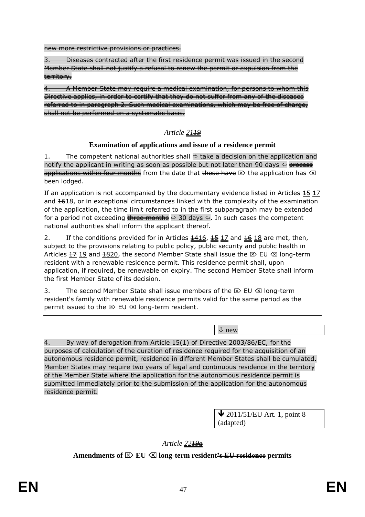new more restrictive provisions or practices.

3. Diseases contracted after the first residence permit was issued in the second Member State shall not justify a refusal to renew the permit or expulsion from the territory.

4. A Member State may require a medical examination, for persons to whom this Directive applies, in order to certify that they do not suffer from any of the diseases referred to in paragraph 2. Such medical examinations, which may be free of charge, shall not be performed on a systematic basis.

## *Article 2119*

#### **Examination of applications and issue of a residence permit**

1. The competent national authorities shall  $\Rightarrow$  take a decision on the application and notify the applicant in writing as soon as possible but not later than 90 days  $\Leftrightarrow$  process applications within four months from the date that these have  $\boxtimes$  the application has  $\boxtimes$ been lodged.

If an application is not accompanied by the documentary evidence listed in Articles  $\frac{45}{17}$  17 and  $4618$ , or in exceptional circumstances linked with the complexity of the examination of the application, the time limit referred to in the first subparagraph may be extended for a period not exceeding three months  $\Rightarrow$  30 days  $\Leftarrow$ . In such cases the competent national authorities shall inform the applicant thereof.

2. If the conditions provided for in Articles  $\frac{1416}{15}$ ,  $\frac{15}{17}$  and  $\frac{16}{18}$  are met, then, subject to the provisions relating to public policy, public security and public health in Articles  $\pm 2$  19 and  $\pm 820$ , the second Member State shall issue the  $\otimes$  EU  $\otimes$  long-term resident with a renewable residence permit. This residence permit shall, upon application, if required, be renewable on expiry. The second Member State shall inform the first Member State of its decision.

3. The second Member State shall issue members of the  $\boxtimes$  EU  $\boxtimes$  long-term resident's family with renewable residence permits valid for the same period as the permit issued to the  $\boxtimes$  EU  $\otimes$  long-term resident.

new

4. By way of derogation from Article 15(1) of Directive 2003/86/EC, for the purposes of calculation of the duration of residence required for the acquisition of an autonomous residence permit, residence in different Member States shall be cumulated. Member States may require two years of legal and continuous residence in the territory of the Member State where the application for the autonomous residence permit is submitted immediately prior to the submission of the application for the autonomous residence permit.

> $\bigvee$  2011/51/EU Art. 1, point 8 (adapted)

*Article 2219a*

**Amendments of**  $\boxtimes$  **EU**  $\boxtimes$  long-term resident<del>'s EU residence</del> permits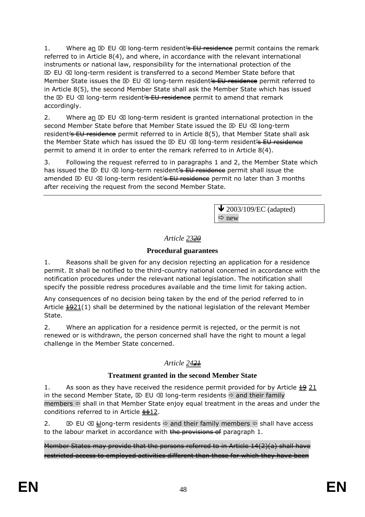1. Where an  $\boxtimes$  EU  $\otimes$  long-term resident <del>'s EU residence</del> permit contains the remark referred to in Article 8(4), and where, in accordance with the relevant international instruments or national law, responsibility for the international protection of the  $\mathbb{E}\times$  EU  $\otimes$  long-term resident is transferred to a second Member State before that Member State issues the  $\boxtimes$  EU  $\otimes$  long-term resident<del>'s EU residence</del> permit referred to in Article 8(5), the second Member State shall ask the Member State which has issued the  $\boxtimes$  EU  $\otimes$  long-term resident's EU residence permit to amend that remark accordingly.

2. Where an  $\mathbb{D} \otimes \mathbb{D} \otimes \mathbb{D}$  long-term resident is granted international protection in the second Member State before that Member State issued the  $\boxtimes$  EU  $\otimes$  long-term resident is EU residence permit referred to in Article 8(5), that Member State shall ask the Member State which has issued the  $\boxtimes$  EU  $\boxtimes$  long-term resident's EU residence permit to amend it in order to enter the remark referred to in Article 8(4).

3. Following the request referred to in paragraphs 1 and 2, the Member State which has issued the  $\boxtimes$  EU  $\otimes$  long-term resident<del>'s EU residence</del> permit shall issue the amended  $\otimes$  EU  $\otimes$  long-term resident's EU residence permit no later than 3 months after receiving the request from the second Member State.

> $\blacktriangleright$  2003/109/EC (adapted)  $\Rightarrow$  new

## *Article 2320*

## **Procedural guarantees**

1. Reasons shall be given for any decision rejecting an application for a residence permit. It shall be notified to the third-country national concerned in accordance with the notification procedures under the relevant national legislation. The notification shall specify the possible redress procedures available and the time limit for taking action.

Any consequences of no decision being taken by the end of the period referred to in Article  $\frac{4921(1)}{2}$  shall be determined by the national legislation of the relevant Member State.

2. Where an application for a residence permit is rejected, or the permit is not renewed or is withdrawn, the person concerned shall have the right to mount a legal challenge in the Member State concerned.

## *Article 2421*

## **Treatment granted in the second Member State**

1. As soon as they have received the residence permit provided for by Article  $\frac{19}{21}$ in the second Member State,  $\boxtimes$  EU  $\boxtimes$  long-term residents  $\Rightarrow$  and their family members  $\Leftarrow$  shall in that Member State enjoy equal treatment in the areas and under the conditions referred to in Article  $\frac{1112}{112}$ .

2.  $\boxtimes$  EU  $\boxtimes$  Hong-term residents  $\Leftrightarrow$  and their family members  $\Leftrightarrow$  shall have access to the labour market in accordance with the provisions of paragraph 1.

Member States may provide that the persons referred to in Article 14(2)(a) shall have restricted access to employed activities different than those for which they have been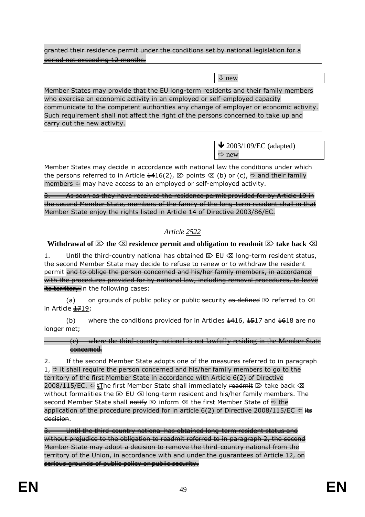granted their residence permit under the conditions set by national legislation for a period not exceeding 12 months.

new

Member States may provide that the EU long-term residents and their family members who exercise an economic activity in an employed or self-employed capacity communicate to the competent authorities any change of employer or economic activity. Such requirement shall not affect the right of the persons concerned to take up and carry out the new activity.

> $\bigvee$  2003/109/EC (adapted)  $\Rightarrow$  new

Member States may decide in accordance with national law the conditions under which the persons referred to in Article  $\frac{1416}{2}$ ,  $\otimes$  points  $\otimes$  (b) or (c),  $\Rightarrow$  and their family members  $\Leftarrow$  may have access to an employed or self-employed activity.

3. As soon as they have received the residence permit provided for by Article 19 in the second Member State, members of the family of the long-term resident shall in that Member State enjoy the rights listed in Article 14 of Directive 2003/86/EC.

## *Article 2522*

## **Withdrawal of**  $\boxtimes$  **the**  $\boxtimes$  **residence permit and obligation to readmit**  $\boxtimes$  take back  $\boxtimes$

1. Until the third-country national has obtained  $\boxtimes$  EU  $\boxtimes$  long-term resident status, the second Member State may decide to refuse to renew or to withdraw the resident permit and to oblige the person concerned and his/her family members, in accordance with the procedures provided for by national law, including removal procedures, to leave its territory in the following cases:

(a) on grounds of public policy or public security as defined  $\boxtimes$  referred to  $\boxtimes$ in Article 1719;

(b) where the conditions provided for in Articles  $\frac{1416}{1517}$  and  $\frac{1618}{1618}$  are no longer met;

(c) where the third-country national is not lawfully residing in the Member State concerned.

2. If the second Member State adopts one of the measures referred to in paragraph  $1, \Rightarrow$  it shall require the person concerned and his/her family members to go to the territory of the first Member State in accordance with Article 6(2) of Directive 2008/115/EC.  $\Leftarrow$  EThe first Member State shall immediately readmit  $\triangleright$  take back  $\trianglelefteq$ without formalities the  $\boxtimes$  EU  $\boxtimes$  long-term resident and his/her family members. The second Member State shall notify  $\mathbb D$  inform  $\mathbb Z$  the first Member State of  $\Rightarrow$  the application of the procedure provided for in article 6(2) of Directive 2008/115/EC  $\Leftrightarrow \frac{1}{100}$ decision.

3. Until the third-country national has obtained long-term resident status and without prejudice to the obligation to readmit referred to in paragraph 2, the second Member State may adopt a decision to remove the third-country national from the territory of the Union, in accordance with and under the guarantees of Article 12, on serious grounds of public policy or public security.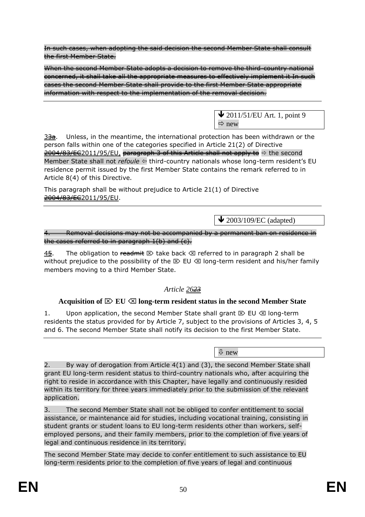In such cases, when adopting the said decision the second Member State shall consult the first Member State.

When the second Member State adopts a decision to remove the third-country national concerned, it shall take all the appropriate measures to effectively implement it In such cases the second Member State shall provide to the first Member State appropriate information with respect to the implementation of the removal decision.



 $3\frac{3}{2}$ . Unless, in the meantime, the international protection has been withdrawn or the person falls within one of the categories specified in Article 21(2) of Directive 2004/83/EE2011/95/EU, paragraph 3 of this Article shall not apply to  $\Rightarrow$  the second Member State shall not *refoule* ⇔ third-country nationals whose long-term resident's EU residence permit issued by the first Member State contains the remark referred to in Article 8(4) of this Directive.

This paragraph shall be without prejudice to Article 21(1) of Directive 2004/83/EC2011/95/EU.

 $\blacktriangleright$  2003/109/EC (adapted)

4. Removal decisions may not be accompanied by a permanent ban on residence in the cases referred to in paragraph  $1(b)$  and  $(e)$ .

45. The obligation to readmit  $\otimes$  take back  $\otimes$  referred to in paragraph 2 shall be without prejudice to the possibility of the  $\boxtimes$  EU  $\boxtimes$  long-term resident and his/her family members moving to a third Member State.

# *Article 2623*

## **Acquisition of**  $\boxtimes$  **EU**  $\boxtimes$  long-term resident status in the second Member State

1. Upon application, the second Member State shall grant  $\mathbb{E}$  EU  $\otimes$  long-term residents the status provided for by Article 7, subject to the provisions of Articles 3, 4, 5 and 6. The second Member State shall notify its decision to the first Member State.

new

2. By way of derogation from Article 4(1) and (3), the second Member State shall grant EU long-term resident status to third-country nationals who, after acquiring the right to reside in accordance with this Chapter, have legally and continuously resided within its territory for three years immediately prior to the submission of the relevant application.

3. The second Member State shall not be obliged to confer entitlement to social assistance, or maintenance aid for studies, including vocational training, consisting in student grants or student loans to EU long-term residents other than workers, selfemployed persons, and their family members, prior to the completion of five years of legal and continuous residence in its territory.

The second Member State may decide to confer entitlement to such assistance to EU long-term residents prior to the completion of five years of legal and continuous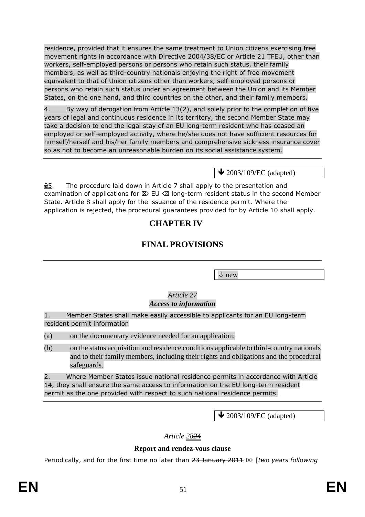residence, provided that it ensures the same treatment to Union citizens exercising free movement rights in accordance with Directive 2004/38/EC or Article 21 TFEU, other than workers, self-employed persons or persons who retain such status, their family members, as well as third-country nationals enjoying the right of free movement equivalent to that of Union citizens other than workers, self-employed persons or persons who retain such status under an agreement between the Union and its Member States, on the one hand, and third countries on the other, and their family members.

4. By way of derogation from Article 13(2), and solely prior to the completion of five years of legal and continuous residence in its territory, the second Member State may take a decision to end the legal stay of an EU long-term resident who has ceased an employed or self-employed activity, where he/she does not have sufficient resources for himself/herself and his/her family members and comprehensive sickness insurance cover so as not to become an unreasonable burden on its social assistance system.

 $\triangle$  2003/109/EC (adapted)

 $\frac{25}{25}$ . The procedure laid down in Article 7 shall apply to the presentation and examination of applications for  $\mathbb D \to \mathbb C$  long-term resident status in the second Member State. Article 8 shall apply for the issuance of the residence permit. Where the application is rejected, the procedural guarantees provided for by Article 10 shall apply.

# **CHAPTER IV**

# **FINAL PROVISIONS**

new

#### *Article 27 Access to information*

1. Member States shall make easily accessible to applicants for an EU long-term resident permit information

(a) on the documentary evidence needed for an application;

(b) on the status acquisition and residence conditions applicable to third-country nationals and to their family members, including their rights and obligations and the procedural safeguards.

2. Where Member States issue national residence permits in accordance with Article 14, they shall ensure the same access to information on the EU long-term resident permit as the one provided with respect to such national residence permits.

 $\bigvee$  2003/109/EC (adapted)

*Article 2824*

## **Report and rendez-vous clause**

Periodically, and for the first time no later than 23 January 2011 **[***two years following*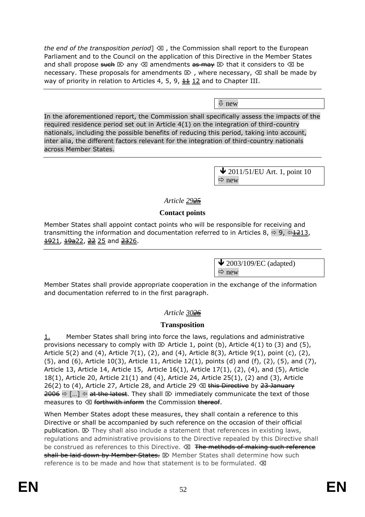*the end of the transposition period*  $\otimes$  *f* the Commission shall report to the European Parliament and to the Council on the application of this Directive in the Member States and shall propose such  $\boxtimes$  any  $\boxtimes$  amendments as may  $\boxtimes$  that it considers to  $\boxtimes$  be necessary. These proposals for amendments  $\boxtimes$ , where necessary,  $\boxtimes$  shall be made by way of priority in relation to Articles 4, 5, 9,  $\frac{11}{12}$  and to Chapter III.

new

In the aforementioned report, the Commission shall specifically assess the impacts of the required residence period set out in Article 4(1) on the integration of third-country nationals, including the possible benefits of reducing this period, taking into account, inter alia, the different factors relevant for the integration of third-country nationals across Member States.

> $\bigvee$  2011/51/EU Art. 1, point 10  $\Rightarrow$  new

## *Article 2925*

### **Contact points**

Member States shall appoint contact points who will be responsible for receiving and transmitting the information and documentation referred to in Articles 8,  $\Rightarrow$  9,  $\Leftarrow$  1213,  $\frac{1921}{19a22}$ ,  $\frac{22}{25}$  and  $\frac{2326}{25}$ .

> $\blacktriangleright$  2003/109/EC (adapted)  $Arr$  new

Member States shall provide appropriate cooperation in the exchange of the information and documentation referred to in the first paragraph.

## *Article 3026*

## **Transposition**

1. Member States shall bring into force the laws, regulations and administrative provisions necessary to comply with  $\boxtimes$  Article 1, point (b), Article 4(1) to (3) and (5), Article 5(2) and (4), Article 7(1), (2), and (4), Article 8(3), Article 9(1), point (c), (2),  $(5)$ , and  $(6)$ , Article 10 $(3)$ , Article 11, Article 12 $(1)$ , points  $(d)$  and  $(f)$ ,  $(2)$ ,  $(5)$ , and  $(7)$ , Article 13, Article 14, Article 15, Article 16(1), Article 17(1), (2), (4), and (5), Article 18(1), Article 20, Article 21(1) and (4), Article 24, Article 25(1), (2) and (3), Article 26(2) to (4), Article 27, Article 28, and Article 29  $\otimes$  this Directive by 23 January  $\frac{2006}{10}$   $\Rightarrow$  [...]  $\Leftarrow$  at the latest. They shall  $\otimes$  immediately communicate the text of those measures to  $\otimes$  forthwith inform the Commission thereof.

When Member States adopt these measures, they shall contain a reference to this Directive or shall be accompanied by such reference on the occasion of their official publication.  $\mathbb{Z}$  They shall also include a statement that references in existing laws, regulations and administrative provisions to the Directive repealed by this Directive shall be construed as references to this Directive.  $\otimes$  The methods of making such reference shall be laid down by Member States.  $\boxtimes$  Member States shall determine how such reference is to be made and how that statement is to be formulated.  $\sqrt{\mathbf{x}}$